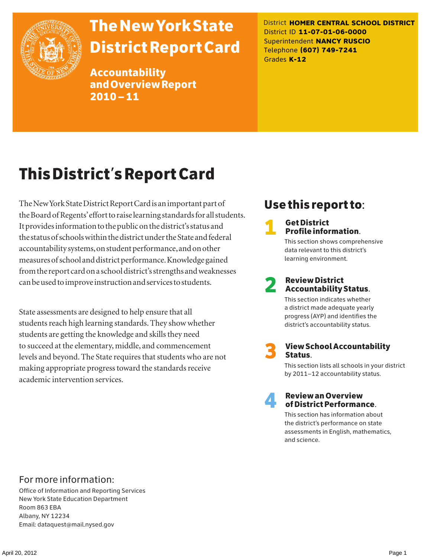

# The New York State District Report Card

Accountability and Overview Report 2010–11

District **HOMER CENTRAL SCHOOL DISTRICT** District ID **11-07-01-06-0000** Superintendent **NANCY RUSCIO** Telephone **(607) 749-7241** Grades **K-12**

# This District's Report Card

The New York State District Report Card is an important part of the Board of Regents' effort to raise learning standards for all students. It provides information to the public on the district's status and the status of schools within the district under the State and federal accountability systems, on student performance, and on other measures of school and district performance. Knowledge gained from the report card on a school district's strengths and weaknesses can be used to improve instruction and services to students.

State assessments are designed to help ensure that all students reach high learning standards. They show whether students are getting the knowledge and skills they need to succeed at the elementary, middle, and commencement levels and beyond. The State requires that students who are not making appropriate progress toward the standards receive academic intervention services.

# Use this report to:

**1** Get District<br>Profile information.

This section shows comprehensive data relevant to this district's learning environment.

# 2 Review District Accountability Status.

This section indicates whether a district made adequate yearly progress (AYP) and identifies the district's accountability status.

3 View School Accountability Status.

This section lists all schools in your district by 2011–12 accountability status.



### 4 Review an Overview of District Performance.

This section has information about the district's performance on state assessments in English, mathematics, and science.

### For more information:

Office of Information and Reporting Services New York State Education Department Room 863 EBA Albany, NY 12234 Email: dataquest@mail.nysed.gov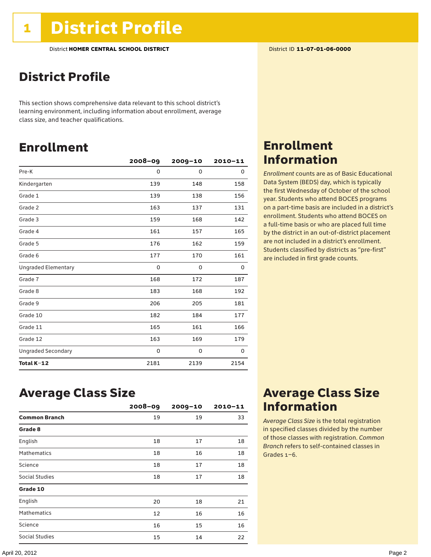### District Profile

This section shows comprehensive data relevant to this school district's learning environment, including information about enrollment, average class size, and teacher qualifications.

### Enrollment

|                            | $2008 - 09$ | $2009 - 10$ | $2010 - 11$ |
|----------------------------|-------------|-------------|-------------|
| Pre-K                      | 0           | 0           | 0           |
| Kindergarten               | 139         | 148         | 158         |
| Grade 1                    | 139         | 138         | 156         |
| Grade 2                    | 163         | 137         | 131         |
| Grade 3                    | 159         | 168         | 142         |
| Grade 4                    | 161         | 157         | 165         |
| Grade 5                    | 176         | 162         | 159         |
| Grade 6                    | 177         | 170         | 161         |
| <b>Ungraded Elementary</b> | $\Omega$    | 0           | 0           |
| Grade 7                    | 168         | 172         | 187         |
| Grade 8                    | 183         | 168         | 192         |
| Grade 9                    | 206         | 205         | 181         |
| Grade 10                   | 182         | 184         | 177         |
| Grade 11                   | 165         | 161         | 166         |
| Grade 12                   | 163         | 169         | 179         |
| <b>Ungraded Secondary</b>  | 0           | 0           | 0           |
| Total K-12                 | 2181        | 2139        | 2154        |

### Enrollment Information

*Enrollment* counts are as of Basic Educational Data System (BEDS) day, which is typically the first Wednesday of October of the school year. Students who attend BOCES programs on a part-time basis are included in a district's enrollment. Students who attend BOCES on a full-time basis or who are placed full time by the district in an out-of-district placement are not included in a district's enrollment. Students classified by districts as "pre-first" are included in first grade counts.

### Average Class Size

|                      | $2008 - 09$ | $2009 - 10$ | $2010 - 11$ |
|----------------------|-------------|-------------|-------------|
| <b>Common Branch</b> | 19          | 19          | 33          |
| Grade 8              |             |             |             |
| English              | 18          | 17          | 18          |
| <b>Mathematics</b>   | 18          | 16          | 18          |
| Science              | 18          | 17          | 18          |
| Social Studies       | 18          | 17          | 18          |
| Grade 10             |             |             |             |
| English              | 20          | 18          | 21          |
| <b>Mathematics</b>   | 12          | 16          | 16          |
| Science              | 16          | 15          | 16          |
| Social Studies       | 15          | 14          | 22          |

### Average Class Size Information

*Average Class Size* is the total registration in specified classes divided by the number of those classes with registration. *Common Branch* refers to self-contained classes in Grades 1–6.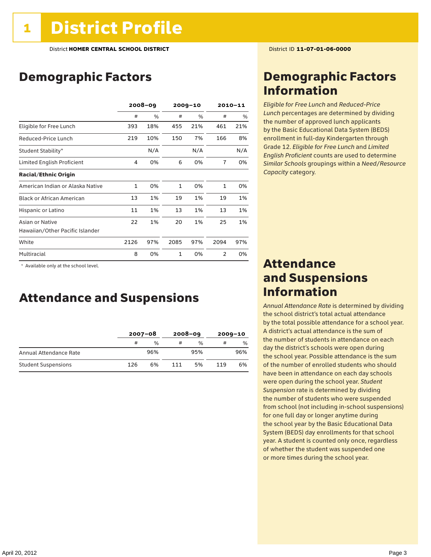# Demographic Factors

|                                  |              | $2008 - 09$ |              | $2009 - 10$ |                | 2010-11 |  |
|----------------------------------|--------------|-------------|--------------|-------------|----------------|---------|--|
|                                  | #            | $\%$        | #            | $\%$        | #              | %       |  |
| Eligible for Free Lunch          | 393          | 18%         | 455          | 21%         | 461            | 21%     |  |
| Reduced-Price Lunch              | 219          | 10%         | 150          | 7%          | 166            | 8%      |  |
| Student Stability*               |              | N/A         |              | N/A         |                | N/A     |  |
| Limited English Proficient       | 4            | 0%          | 6            | 0%          | $\overline{7}$ | 0%      |  |
| <b>Racial/Ethnic Origin</b>      |              |             |              |             |                |         |  |
| American Indian or Alaska Native | $\mathbf{1}$ | 0%          | $\mathbf{1}$ | 0%          | $\mathbf{1}$   | 0%      |  |
| <b>Black or African American</b> | 13           | 1%          | 19           | 1%          | 19             | 1%      |  |
| Hispanic or Latino               | 11           | 1%          | 13           | 1%          | 13             | 1%      |  |
| Asian or Native                  | 22           | 1%          | 20           | 1%          | 25             | 1%      |  |
| Hawaiian/Other Pacific Islander  |              |             |              |             |                |         |  |
| White                            | 2126         | 97%         | 2085         | 97%         | 2094           | 97%     |  |
| Multiracial                      | 8            | 0%          | $\mathbf{1}$ | 0%          | 2              | 0%      |  |

 \* Available only at the school level.

### Attendance and Suspensions

|                            |     | $2007 - 08$   |     | $2008 - 09$   | $2009 - 10$ |               |
|----------------------------|-----|---------------|-----|---------------|-------------|---------------|
|                            | #   | $\frac{0}{6}$ |     | $\frac{0}{0}$ | #           | $\frac{0}{0}$ |
| Annual Attendance Rate     |     | 96%           |     | 95%           |             | 96%           |
| <b>Student Suspensions</b> | 126 | 6%            | 111 | 5%            | 119         | 6%            |

### Demographic Factors Information

*Eligible for Free Lunch* and *Reduced*-*Price Lunch* percentages are determined by dividing the number of approved lunch applicants by the Basic Educational Data System (BEDS) enrollment in full-day Kindergarten through Grade 12. *Eligible for Free Lunch* and *Limited English Proficient* counts are used to determine *Similar Schools* groupings within a *Need*/*Resource Capacity* category.

### Attendance and Suspensions Information

*Annual Attendance Rate* is determined by dividing the school district's total actual attendance by the total possible attendance for a school year. A district's actual attendance is the sum of the number of students in attendance on each day the district's schools were open during the school year. Possible attendance is the sum of the number of enrolled students who should have been in attendance on each day schools were open during the school year. *Student Suspension* rate is determined by dividing the number of students who were suspended from school (not including in-school suspensions) for one full day or longer anytime during the school year by the Basic Educational Data System (BEDS) day enrollments for that school year. A student is counted only once, regardless of whether the student was suspended one or more times during the school year.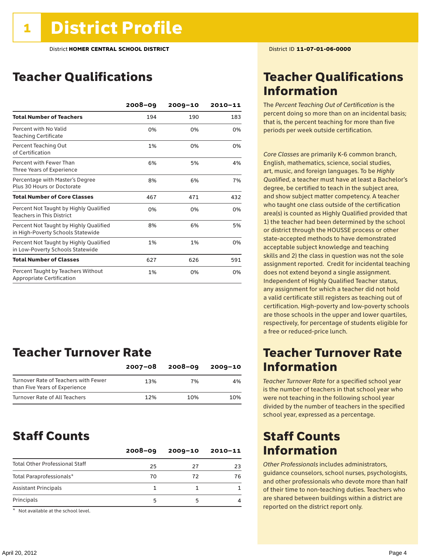### Teacher Qualifications

|                                                                             | $2008 - 09$ | $2009 - 10$ | $2010 - 11$ |
|-----------------------------------------------------------------------------|-------------|-------------|-------------|
| <b>Total Number of Teachers</b>                                             | 194         | 190         | 183         |
| Percent with No Valid<br><b>Teaching Certificate</b>                        | 0%          | 0%          | 0%          |
| Percent Teaching Out<br>of Certification                                    | 1%          | 0%          | 0%          |
| Percent with Fewer Than<br>Three Years of Experience                        | 6%          | 5%          | 4%          |
| Percentage with Master's Degree<br>Plus 30 Hours or Doctorate               | 8%          | 6%          | 7%          |
| <b>Total Number of Core Classes</b>                                         | 467         | 471         | 432         |
| Percent Not Taught by Highly Qualified<br><b>Teachers in This District</b>  | 0%          | 0%          | 0%          |
| Percent Not Taught by Highly Qualified<br>in High-Poverty Schools Statewide | 8%          | 6%          | 5%          |
| Percent Not Taught by Highly Qualified<br>in Low-Poverty Schools Statewide  | 1%          | 1%          | 0%          |
| <b>Total Number of Classes</b>                                              | 627         | 626         | 591         |
| Percent Taught by Teachers Without<br>Appropriate Certification             | 1%          | 0%          | 0%          |

### Teacher Turnover Rate

|                                                                       | $2007 - 08$ | $2008 - 09$ | $2009 - 10$ |
|-----------------------------------------------------------------------|-------------|-------------|-------------|
| Turnover Rate of Teachers with Fewer<br>than Five Years of Experience | 13%         | 7%          | 4%          |
| Turnover Rate of All Teachers                                         | 12%         | 10%         | 10%         |

### Staff Counts

|                                       | $2008 - 09$ | $2009 - 10$ | 2010-11 |
|---------------------------------------|-------------|-------------|---------|
| <b>Total Other Professional Staff</b> | 25          | 27          | 23      |
| Total Paraprofessionals*              | 70          | 72          | 76      |
| <b>Assistant Principals</b>           |             |             |         |
| Principals                            | 5           | 5           |         |

\* Not available at the school level.

### Teacher Qualifications Information

The *Percent Teaching Out of Certification* is the percent doing so more than on an incidental basis; that is, the percent teaching for more than five periods per week outside certification.

*Core Classes* are primarily K-6 common branch, English, mathematics, science, social studies, art, music, and foreign languages. To be *Highly Qualified*, a teacher must have at least a Bachelor's degree, be certified to teach in the subject area, and show subject matter competency. A teacher who taught one class outside of the certification area(s) is counted as Highly Qualified provided that 1) the teacher had been determined by the school or district through the HOUSSE process or other state-accepted methods to have demonstrated acceptable subject knowledge and teaching skills and 2) the class in question was not the sole assignment reported. Credit for incidental teaching does not extend beyond a single assignment. Independent of Highly Qualified Teacher status, any assignment for which a teacher did not hold a valid certificate still registers as teaching out of certification. High-poverty and low-poverty schools are those schools in the upper and lower quartiles, respectively, for percentage of students eligible for a free or reduced-price lunch.

### Teacher Turnover Rate Information

*Teacher Turnover Rate* for a specified school year is the number of teachers in that school year who were not teaching in the following school year divided by the number of teachers in the specified school year, expressed as a percentage.

### Staff Counts Information

*Other Professionals* includes administrators, guidance counselors, school nurses, psychologists, and other professionals who devote more than half of their time to non-teaching duties. Teachers who are shared between buildings within a district are reported on the district report only.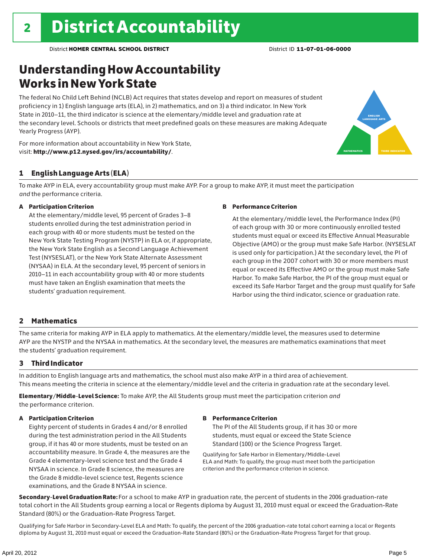# Understanding How Accountability Works in New York State

The federal No Child Left Behind (NCLB) Act requires that states develop and report on measures of student proficiency in 1) English language arts (ELA), in 2) mathematics, and on 3) a third indicator. In New York State in 2010–11, the third indicator is science at the elementary/middle level and graduation rate at the secondary level. Schools or districts that meet predefined goals on these measures are making Adequate Yearly Progress (AYP).





### 1 English Language Arts (ELA)

To make AYP in ELA, every accountability group must make AYP. For a group to make AYP, it must meet the participation *and* the performance criteria.

#### A Participation Criterion

At the elementary/middle level, 95 percent of Grades 3–8 students enrolled during the test administration period in each group with 40 or more students must be tested on the New York State Testing Program (NYSTP) in ELA or, if appropriate, the New York State English as a Second Language Achievement Test (NYSESLAT), or the New York State Alternate Assessment (NYSAA) in ELA. At the secondary level, 95 percent of seniors in 2010–11 in each accountability group with 40 or more students must have taken an English examination that meets the students' graduation requirement.

#### B Performance Criterion

At the elementary/middle level, the Performance Index (PI) of each group with 30 or more continuously enrolled tested students must equal or exceed its Effective Annual Measurable Objective (AMO) or the group must make Safe Harbor. (NYSESLAT is used only for participation.) At the secondary level, the PI of each group in the 2007 cohort with 30 or more members must equal or exceed its Effective AMO or the group must make Safe Harbor. To make Safe Harbor, the PI of the group must equal or exceed its Safe Harbor Target and the group must qualify for Safe Harbor using the third indicator, science or graduation rate.

### 2 Mathematics

The same criteria for making AYP in ELA apply to mathematics. At the elementary/middle level, the measures used to determine AYP are the NYSTP and the NYSAA in mathematics. At the secondary level, the measures are mathematics examinations that meet the students' graduation requirement.

### 3 Third Indicator

In addition to English language arts and mathematics, the school must also make AYP in a third area of achievement. This means meeting the criteria in science at the elementary/middle level and the criteria in graduation rate at the secondary level.

Elementary/Middle-Level Science: To make AYP, the All Students group must meet the participation criterion *and* the performance criterion.

#### A Participation Criterion

Eighty percent of students in Grades 4 and/or 8 enrolled during the test administration period in the All Students group, if it has 40 or more students, must be tested on an accountability measure. In Grade 4, the measures are the Grade 4 elementary-level science test and the Grade 4 NYSAA in science. In Grade 8 science, the measures are the Grade 8 middle-level science test, Regents science examinations, and the Grade 8 NYSAA in science.

#### B Performance Criterion

The PI of the All Students group, if it has 30 or more students, must equal or exceed the State Science Standard (100) or the Science Progress Target.

Qualifying for Safe Harbor in Elementary/Middle-Level ELA and Math: To qualify, the group must meet both the participation criterion and the performance criterion in science.

Secondary-Level Graduation Rate: For a school to make AYP in graduation rate, the percent of students in the 2006 graduation-rate total cohort in the All Students group earning a local or Regents diploma by August 31, 2010 must equal or exceed the Graduation-Rate Standard (80%) or the Graduation-Rate Progress Target.

Qualifying for Safe Harbor in Secondary-Level ELA and Math: To qualify, the percent of the 2006 graduation-rate total cohort earning a local or Regents diploma by August 31, 2010 must equal or exceed the Graduation-Rate Standard (80%) or the Graduation-Rate Progress Target for that group.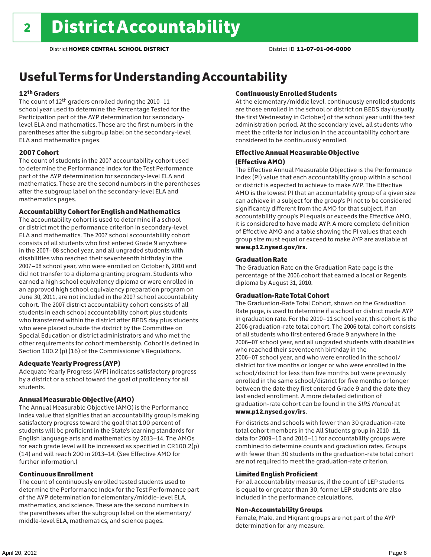# Useful Terms for Understanding Accountability

### 12th Graders

The count of 12th graders enrolled during the 2010–11 school year used to determine the Percentage Tested for the Participation part of the AYP determination for secondarylevel ELA and mathematics. These are the first numbers in the parentheses after the subgroup label on the secondary-level ELA and mathematics pages.

#### 2007 Cohort

The count of students in the 2007 accountability cohort used to determine the Performance Index for the Test Performance part of the AYP determination for secondary-level ELA and mathematics. These are the second numbers in the parentheses after the subgroup label on the secondary-level ELA and mathematics pages.

#### Accountability Cohort for English and Mathematics

The accountability cohort is used to determine if a school or district met the performance criterion in secondary-level ELA and mathematics. The 2007 school accountability cohort consists of all students who first entered Grade 9 anywhere in the 2007–08 school year, and all ungraded students with disabilities who reached their seventeenth birthday in the 2007–08 school year, who were enrolled on October 6, 2010 and did not transfer to a diploma granting program. Students who earned a high school equivalency diploma or were enrolled in an approved high school equivalency preparation program on June 30, 2011, are not included in the 2007 school accountability cohort. The 2007 district accountability cohort consists of all students in each school accountability cohort plus students who transferred within the district after BEDS day plus students who were placed outside the district by the Committee on Special Education or district administrators and who met the other requirements for cohort membership. Cohort is defined in Section 100.2 (p) (16) of the Commissioner's Regulations.

#### Adequate Yearly Progress (AYP)

Adequate Yearly Progress (AYP) indicates satisfactory progress by a district or a school toward the goal of proficiency for all students.

### Annual Measurable Objective (AMO)

The Annual Measurable Objective (AMO) is the Performance Index value that signifies that an accountability group is making satisfactory progress toward the goal that 100 percent of students will be proficient in the State's learning standards for English language arts and mathematics by 2013–14. The AMOs for each grade level will be increased as specified in CR100.2(p) (14) and will reach 200 in 2013–14. (See Effective AMO for further information.)

#### Continuous Enrollment

The count of continuously enrolled tested students used to determine the Performance Index for the Test Performance part of the AYP determination for elementary/middle-level ELA, mathematics, and science. These are the second numbers in the parentheses after the subgroup label on the elementary/ middle-level ELA, mathematics, and science pages.

#### Continuously Enrolled Students

At the elementary/middle level, continuously enrolled students are those enrolled in the school or district on BEDS day (usually the first Wednesday in October) of the school year until the test administration period. At the secondary level, all students who meet the criteria for inclusion in the accountability cohort are considered to be continuously enrolled.

### Effective Annual Measurable Objective (Effective AMO)

The Effective Annual Measurable Objective is the Performance Index (PI) value that each accountability group within a school or district is expected to achieve to make AYP. The Effective AMO is the lowest PI that an accountability group of a given size can achieve in a subject for the group's PI not to be considered significantly different from the AMO for that subject. If an accountability group's PI equals or exceeds the Effective AMO, it is considered to have made AYP. A more complete definition of Effective AMO and a table showing the PI values that each group size must equal or exceed to make AYP are available at www.p12.nysed.gov/irs.

#### Graduation Rate

The Graduation Rate on the Graduation Rate page is the percentage of the 2006 cohort that earned a local or Regents diploma by August 31, 2010.

#### Graduation-Rate Total Cohort

The Graduation-Rate Total Cohort, shown on the Graduation Rate page, is used to determine if a school or district made AYP in graduation rate. For the 2010–11 school year, this cohort is the 2006 graduation-rate total cohort. The 2006 total cohort consists of all students who first entered Grade 9 anywhere in the 2006–07 school year, and all ungraded students with disabilities who reached their seventeenth birthday in the 2006–07 school year, and who were enrolled in the school/ district for five months or longer or who were enrolled in the school/district for less than five months but were previously enrolled in the same school/district for five months or longer between the date they first entered Grade 9 and the date they last ended enrollment. A more detailed definition of graduation-rate cohort can be found in the *SIRS Manual* at www.p12.nysed.gov/irs.

For districts and schools with fewer than 30 graduation-rate total cohort members in the All Students group in 2010–11, data for 2009–10 and 2010–11 for accountability groups were combined to determine counts and graduation rates. Groups with fewer than 30 students in the graduation-rate total cohort are not required to meet the graduation-rate criterion.

#### Limited English Proficient

For all accountability measures, if the count of LEP students is equal to or greater than 30, former LEP students are also included in the performance calculations.

#### Non-Accountability Groups

Female, Male, and Migrant groups are not part of the AYP determination for any measure.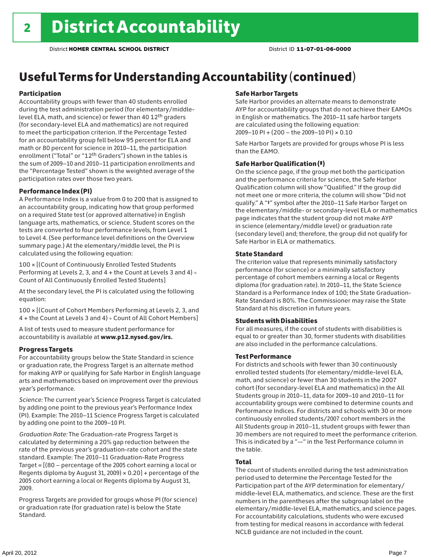# Useful Terms for Understanding Accountability (continued)

### Participation

Accountability groups with fewer than 40 students enrolled during the test administration period (for elementary/middlelevel ELA, math, and science) or fewer than 40 12th graders (for secondary-level ELA and mathematics) are not required to meet the participation criterion. If the Percentage Tested for an accountability group fell below 95 percent for ELA and math or 80 percent for science in 2010–11, the participation enrollment ("Total" or "12th Graders") shown in the tables is the sum of 2009–10 and 2010–11 participation enrollments and the "Percentage Tested" shown is the weighted average of the participation rates over those two years.

#### Performance Index (PI)

A Performance Index is a value from 0 to 200 that is assigned to an accountability group, indicating how that group performed on a required State test (or approved alternative) in English language arts, mathematics, or science. Student scores on the tests are converted to four performance levels, from Level 1 to Level 4. (See performance level definitions on the Overview summary page.) At the elementary/middle level, the PI is calculated using the following equation:

100 × [(Count of Continuously Enrolled Tested Students Performing at Levels 2, 3, and 4 + the Count at Levels 3 and 4) Count of All Continuously Enrolled Tested Students]

At the secondary level, the PI is calculated using the following equation:

100 × [(Count of Cohort Members Performing at Levels 2, 3, and 4 + the Count at Levels 3 and 4) Count of All Cohort Members]

A list of tests used to measure student performance for accountability is available at www.p12.nysed.gov/irs.

### Progress Targets

For accountability groups below the State Standard in science or graduation rate, the Progress Target is an alternate method for making AYP or qualifying for Safe Harbor in English language arts and mathematics based on improvement over the previous year's performance.

*Science:* The current year's Science Progress Target is calculated by adding one point to the previous year's Performance Index (PI). Example: The 2010–11 Science Progress Target is calculated by adding one point to the 2009–10 PI.

*Graduation Rate:* The Graduation-rate Progress Target is calculated by determining a 20% gap reduction between the rate of the previous year's graduation-rate cohort and the state standard. Example: The 2010–11 Graduation-Rate Progress Target = [(80 – percentage of the 2005 cohort earning a local or Regents diploma by August 31, 2009)  $\times$  0.20] + percentage of the 2005 cohort earning a local or Regents diploma by August 31, 2009.

Progress Targets are provided for groups whose PI (for science) or graduation rate (for graduation rate) is below the State Standard.

#### Safe Harbor Targets

Safe Harbor provides an alternate means to demonstrate AYP for accountability groups that do not achieve their EAMOs in English or mathematics. The 2010–11 safe harbor targets are calculated using the following equation: 2009–10 PI + (200 – the 2009–10 PI) × 0.10

Safe Harbor Targets are provided for groups whose PI is less than the EAMO.

### Safe Harbor Qualification (‡)

On the science page, if the group met both the participation and the performance criteria for science, the Safe Harbor Qualification column will show "Qualified." If the group did not meet one or more criteria, the column will show "Did not qualify." A "‡" symbol after the 2010–11 Safe Harbor Target on the elementary/middle- or secondary-level ELA or mathematics page indicates that the student group did not make AYP in science (elementary/middle level) or graduation rate (secondary level) and; therefore, the group did not qualify for Safe Harbor in ELA or mathematics.

#### State Standard

The criterion value that represents minimally satisfactory performance (for science) or a minimally satisfactory percentage of cohort members earning a local or Regents diploma (for graduation rate). In 2010–11, the State Science Standard is a Performance Index of 100; the State Graduation-Rate Standard is 80%. The Commissioner may raise the State Standard at his discretion in future years.

#### Students with Disabilities

For all measures, if the count of students with disabilities is equal to or greater than 30, former students with disabilities are also included in the performance calculations.

#### Test Performance

For districts and schools with fewer than 30 continuously enrolled tested students (for elementary/middle-level ELA, math, and science) or fewer than 30 students in the 2007 cohort (for secondary-level ELA and mathematics) in the All Students group in 2010–11, data for 2009–10 and 2010–11 for accountability groups were combined to determine counts and Performance Indices. For districts and schools with 30 or more continuously enrolled students/2007 cohort members in the All Students group in 2010–11, student groups with fewer than 30 members are not required to meet the performance criterion. This is indicated by a "—" in the Test Performance column in the table.

### Total

The count of students enrolled during the test administration period used to determine the Percentage Tested for the Participation part of the AYP determination for elementary/ middle-level ELA, mathematics, and science. These are the first numbers in the parentheses after the subgroup label on the elementary/middle-level ELA, mathematics, and science pages. For accountability calculations, students who were excused from testing for medical reasons in accordance with federal NCLB guidance are not included in the count.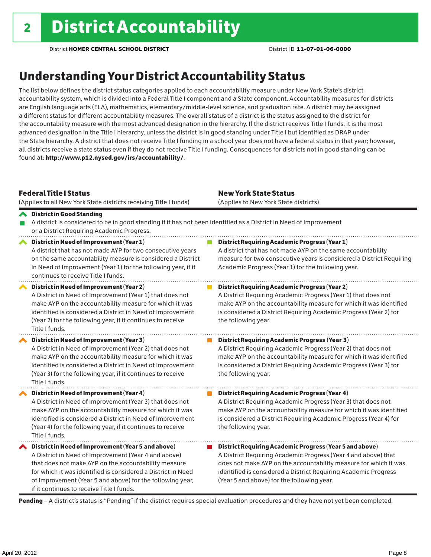# Understanding Your District Accountability Status

The list below defines the district status categories applied to each accountability measure under New York State's district accountability system, which is divided into a Federal Title I component and a State component. Accountability measures for districts are English language arts (ELA), mathematics, elementary/middle-level science, and graduation rate. A district may be assigned a different status for different accountability measures. The overall status of a district is the status assigned to the district for the accountability measure with the most advanced designation in the hierarchy. If the district receives Title I funds, it is the most advanced designation in the Title I hierarchy, unless the district is in good standing under Title I but identified as DRAP under the State hierarchy. A district that does not receive Title I funding in a school year does not have a federal status in that year; however, all districts receive a state status even if they do not receive Title I funding. Consequences for districts not in good standing can be found at: http://www.p12.nysed.gov/irs/accountability/.

| <b>Federal Title   Status</b><br>(Applies to all New York State districts receiving Title I funds)                                                                                                                                                                                                                                             | <b>New York State Status</b><br>(Applies to New York State districts)                                                                                                                                                                                                                                          |
|------------------------------------------------------------------------------------------------------------------------------------------------------------------------------------------------------------------------------------------------------------------------------------------------------------------------------------------------|----------------------------------------------------------------------------------------------------------------------------------------------------------------------------------------------------------------------------------------------------------------------------------------------------------------|
| <b>◆</b> District in Good Standing<br>or a District Requiring Academic Progress.                                                                                                                                                                                                                                                               | A district is considered to be in good standing if it has not been identified as a District in Need of Improvement                                                                                                                                                                                             |
| District in Need of Improvement (Year 1)<br>⌒<br>A district that has not made AYP for two consecutive years<br>on the same accountability measure is considered a District<br>in Need of Improvement (Year 1) for the following year, if it<br>continues to receive Title I funds.                                                             | District Requiring Academic Progress (Year 1)<br>A district that has not made AYP on the same accountability<br>measure for two consecutive years is considered a District Requiring<br>Academic Progress (Year 1) for the following year.                                                                     |
| District in Need of Improvement (Year 2)<br>A District in Need of Improvement (Year 1) that does not<br>make AYP on the accountability measure for which it was<br>identified is considered a District in Need of Improvement<br>(Year 2) for the following year, if it continues to receive<br>Title I funds.                                 | <b>District Requiring Academic Progress (Year 2)</b><br>A District Requiring Academic Progress (Year 1) that does not<br>make AYP on the accountability measure for which it was identified<br>is considered a District Requiring Academic Progress (Year 2) for<br>the following year.                        |
| District in Need of Improvement (Year 3)<br>A District in Need of Improvement (Year 2) that does not<br>make AYP on the accountability measure for which it was<br>identified is considered a District in Need of Improvement<br>(Year 3) for the following year, if it continues to receive<br>Title I funds.                                 | <b>District Requiring Academic Progress (Year 3)</b><br>A District Requiring Academic Progress (Year 2) that does not<br>make AYP on the accountability measure for which it was identified<br>is considered a District Requiring Academic Progress (Year 3) for<br>the following year.                        |
| District in Need of Improvement (Year 4)<br>A District in Need of Improvement (Year 3) that does not<br>make AYP on the accountability measure for which it was<br>identified is considered a District in Need of Improvement<br>(Year 4) for the following year, if it continues to receive<br>Title I funds.                                 | <b>District Requiring Academic Progress (Year 4)</b><br>A District Requiring Academic Progress (Year 3) that does not<br>make AYP on the accountability measure for which it was identified<br>is considered a District Requiring Academic Progress (Year 4) for<br>the following year.                        |
| ◆ District in Need of Improvement (Year 5 and above)<br>A District in Need of Improvement (Year 4 and above)<br>that does not make AYP on the accountability measure<br>for which it was identified is considered a District in Need<br>of Improvement (Year 5 and above) for the following year,<br>if it continues to receive Title I funds. | District Requiring Academic Progress (Year 5 and above)<br>A District Requiring Academic Progress (Year 4 and above) that<br>does not make AYP on the accountability measure for which it was<br>identified is considered a District Requiring Academic Progress<br>(Year 5 and above) for the following year. |

Pending - A district's status is "Pending" if the district requires special evaluation procedures and they have not yet been completed.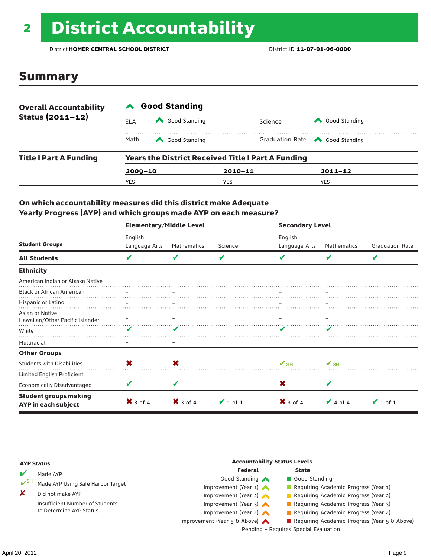# 2 District Accountability

District **HOMER CENTRAL SCHOOL DISTRICT** District ID **11-07-01-06-0000**

### Summary

| <b>Overall Accountability</b> | <b>Good Standing</b>                                      |               |             |                                       |  |  |  |
|-------------------------------|-----------------------------------------------------------|---------------|-------------|---------------------------------------|--|--|--|
| Status $(2011 - 12)$          | ELA                                                       | Good Standing | Science     | Good Standing                         |  |  |  |
|                               | Math                                                      | Good Standing |             | Graduation Rate <a> Good Standing</a> |  |  |  |
| <b>Title I Part A Funding</b> | <b>Years the District Received Title I Part A Funding</b> |               |             |                                       |  |  |  |
|                               | $2009 - 10$                                               |               | $2010 - 11$ | $2011 - 12$                           |  |  |  |
|                               | YES                                                       |               | YES         | <b>YES</b>                            |  |  |  |

### On which accountability measures did this district make Adequate Yearly Progress (AYP) and which groups made AYP on each measure?

|                                                     | <b>Elementary/Middle Level</b> |                     |               | <b>Secondary Level</b>   |               |                        |  |  |
|-----------------------------------------------------|--------------------------------|---------------------|---------------|--------------------------|---------------|------------------------|--|--|
|                                                     | English                        |                     |               | English                  |               |                        |  |  |
| <b>Student Groups</b>                               | Language Arts                  | Mathematics         | Science       | Language Arts            | Mathematics   | <b>Graduation Rate</b> |  |  |
| <b>All Students</b>                                 | V                              | V                   | V             |                          | V             | V                      |  |  |
| <b>Ethnicity</b>                                    |                                |                     |               |                          |               |                        |  |  |
| American Indian or Alaska Native                    |                                |                     |               |                          |               |                        |  |  |
| <b>Black or African American</b>                    |                                |                     |               |                          |               |                        |  |  |
| Hispanic or Latino                                  |                                |                     |               |                          |               |                        |  |  |
| Asian or Native<br>Hawaiian/Other Pacific Islander  |                                |                     |               |                          |               |                        |  |  |
| White                                               | v                              | v                   |               |                          |               |                        |  |  |
| Multiracial                                         |                                | -                   |               |                          |               |                        |  |  |
| <b>Other Groups</b>                                 |                                |                     |               |                          |               |                        |  |  |
| <b>Students with Disabilities</b>                   | X                              | X                   |               | $\mathbf{V}_{\text{SH}}$ | $V_{\rm SH}$  |                        |  |  |
| Limited English Proficient                          |                                |                     |               |                          |               |                        |  |  |
| <b>Economically Disadvantaged</b>                   | V                              | V                   |               | X                        | V             |                        |  |  |
| <b>Student groups making</b><br>AYP in each subject | $\mathsf{X}$ 3 of 4            | $\mathsf{X}$ 3 of 4 | $\vee$ 1 of 1 | $\mathsf{X}$ 3 of 4      | $\vee$ 4 of 4 | $\vee$ 1 of 1          |  |  |

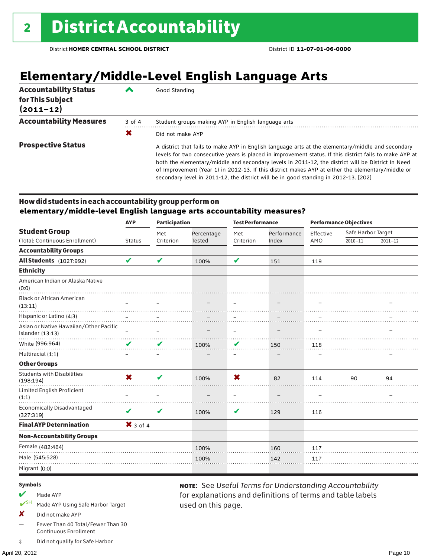# **Elementary/Middle-Level English Language Arts**

| <b>Accountability Status</b><br>for This Subject<br>$(2011 - 12)$ | ◢      | Good Standing                                                                                                                                                                                                                                                                                                                                                                                                                                                                                                 |
|-------------------------------------------------------------------|--------|---------------------------------------------------------------------------------------------------------------------------------------------------------------------------------------------------------------------------------------------------------------------------------------------------------------------------------------------------------------------------------------------------------------------------------------------------------------------------------------------------------------|
| <b>Accountability Measures</b>                                    | 3 of 4 | Student groups making AYP in English language arts                                                                                                                                                                                                                                                                                                                                                                                                                                                            |
|                                                                   | X      | Did not make AYP                                                                                                                                                                                                                                                                                                                                                                                                                                                                                              |
| <b>Prospective Status</b>                                         |        | A district that fails to make AYP in English language arts at the elementary/middle and secondary<br>levels for two consecutive years is placed in improvement status. If this district fails to make AYP at<br>both the elementary/middle and secondary levels in 2011-12, the district will be District In Need<br>of Improvement (Year 1) in 2012-13. If this district makes AYP at either the elementary/middle or<br>secondary level in 2011-12, the district will be in good standing in 2012-13. [202] |

### How did students in each accountability group perform on **elementary/middle-level English language arts accountability measures?**

|                                                            | <b>AYP</b>      | <b>Participation</b> |                          | <b>Test Performance</b>  |                          | <b>Performance Objectives</b> |                    |             |
|------------------------------------------------------------|-----------------|----------------------|--------------------------|--------------------------|--------------------------|-------------------------------|--------------------|-------------|
| <b>Student Group</b>                                       |                 | Met                  | Percentage               | Met                      | Performance              | Effective                     | Safe Harbor Target |             |
| (Total: Continuous Enrollment)                             | <b>Status</b>   | Criterion            | <b>Tested</b>            | Criterion                | Index                    | AMO                           | $2010 - 11$        | $2011 - 12$ |
| <b>Accountability Groups</b>                               |                 |                      |                          |                          |                          |                               |                    |             |
| <b>All Students</b> (1027:992)                             | V               | V                    | 100%                     | V                        | 151                      | 119                           |                    |             |
| <b>Ethnicity</b>                                           |                 |                      |                          |                          |                          |                               |                    |             |
| American Indian or Alaska Native<br>(0:0)                  |                 |                      |                          |                          |                          |                               |                    |             |
| <b>Black or African American</b><br>(13:11)                |                 |                      | $\overline{\phantom{m}}$ | $\overline{\phantom{0}}$ | $\overline{\phantom{0}}$ |                               |                    |             |
| Hispanic or Latino (4:3)                                   |                 |                      |                          |                          |                          |                               |                    |             |
| Asian or Native Hawaiian/Other Pacific<br>Islander (13:13) | $\qquad \qquad$ | —                    |                          | $\qquad \qquad -$        |                          | -                             |                    |             |
| White (996:964)                                            | $\checkmark$    | V                    | 100%                     | V                        | 150                      | 118                           |                    |             |
| Multiracial (1:1)                                          |                 |                      |                          | $\overline{\phantom{m}}$ |                          |                               |                    |             |
| <b>Other Groups</b>                                        |                 |                      |                          |                          |                          |                               |                    |             |
| <b>Students with Disabilities</b><br>(198:194)             | X               | ✔                    | 100%                     | X                        | 82                       | 114                           | 90                 | 94          |
| Limited English Proficient<br>(1:1)                        |                 |                      |                          | $\equiv$                 |                          |                               |                    |             |
| <b>Economically Disadvantaged</b><br>(327:319)             | V               | V                    | 100%                     | V                        | 129                      | 116                           |                    |             |
| <b>Final AYP Determination</b>                             | $X$ 3 of 4      |                      |                          |                          |                          |                               |                    |             |
| <b>Non-Accountability Groups</b>                           |                 |                      |                          |                          |                          |                               |                    |             |
| Female (482:464)                                           |                 |                      | 100%                     |                          | 160                      | 117                           |                    |             |
| Male (545:528)                                             |                 |                      | 100%                     |                          | 142                      | 117                           |                    |             |
| Migrant (0:0)                                              |                 |                      |                          |                          |                          |                               |                    |             |
|                                                            |                 |                      |                          |                          |                          |                               |                    |             |

used on this page.

note: See *Useful Terms for Understanding Accountability*  for explanations and definitions of terms and table labels

#### Symbols

- $M$  Made AYP
- ✔SH Made AYP Using Safe Harbor Target
- X Did not make AYP
- Fewer Than 40 Total/Fewer Than 30 Continuous Enrollment
- ‡ Did not qualify for Safe Harbor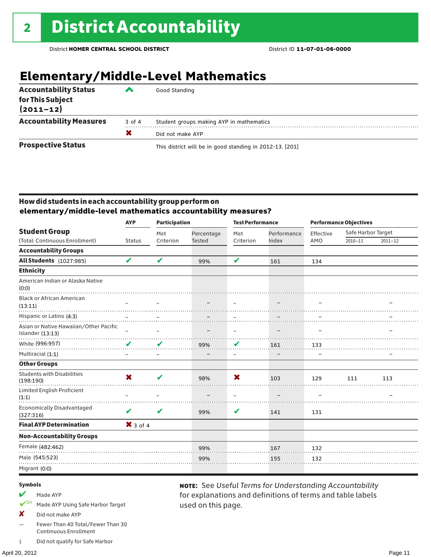# **Elementary/Middle-Level Mathematics**

| <b>Accountability Status</b><br>for This Subject<br>$(2011 - 12)$ | ▰      | Good Standing                                            |
|-------------------------------------------------------------------|--------|----------------------------------------------------------|
| <b>Accountability Measures</b>                                    | 3 of 4 | Student groups making AYP in mathematics                 |
|                                                                   | X      | Did not make AYP                                         |
| <b>Prospective Status</b>                                         |        | This district will be in good standing in 2012-13. [201] |

### How did students in each accountability group perform on **elementary/middle-level mathematics accountability measures?**

| <b>AYP</b>                 | <b>Participation</b> |               | <b>Test Performance</b>  |                          | <b>Performance Objectives</b> |                    |             |
|----------------------------|----------------------|---------------|--------------------------|--------------------------|-------------------------------|--------------------|-------------|
|                            | Met                  | Percentage    | Met                      | Performance              | Effective                     | Safe Harbor Target |             |
| <b>Status</b>              | Criterion            | <b>Tested</b> | Criterion                | Index                    | AMO                           | $2010 - 11$        | $2011 - 12$ |
|                            |                      |               |                          |                          |                               |                    |             |
| $\boldsymbol{\mathcal{U}}$ | V                    | 99%           | V                        | 161                      | 134                           |                    |             |
|                            |                      |               |                          |                          |                               |                    |             |
|                            |                      |               |                          |                          |                               |                    |             |
|                            |                      |               |                          |                          |                               |                    |             |
|                            |                      |               |                          |                          |                               |                    |             |
| $\equiv$                   |                      |               | $\qquad \qquad -$        | $\overline{\phantom{0}}$ |                               |                    |             |
| V                          | V                    | 99%           | V                        | 161                      | 133                           |                    |             |
| $\overline{\phantom{0}}$   | —                    |               | $\overline{\phantom{m}}$ |                          |                               |                    |             |
|                            |                      |               |                          |                          |                               |                    |             |
| X                          | V                    | 98%           | X                        | 103                      | 129                           | 111                | 113         |
|                            |                      |               |                          |                          |                               |                    |             |
| V                          | V                    | 99%           | V                        | 141                      | 131                           |                    |             |
|                            |                      |               |                          |                          |                               |                    |             |
|                            |                      |               |                          |                          |                               |                    |             |
|                            |                      | 99%           |                          | 167                      | 132                           |                    |             |
|                            |                      | 99%           |                          | 155                      | 132                           |                    |             |
|                            |                      |               |                          |                          |                               |                    |             |
|                            |                      | $X$ 3 of 4    |                          |                          |                               |                    |             |

used on this page.

note: See *Useful Terms for Understanding Accountability*  for explanations and definitions of terms and table labels

#### Symbols

- $M$  Made AYP
- ✔SH Made AYP Using Safe Harbor Target
- X Did not make AYP
- Fewer Than 40 Total/Fewer Than 30 Continuous Enrollment
- ‡ Did not qualify for Safe Harbor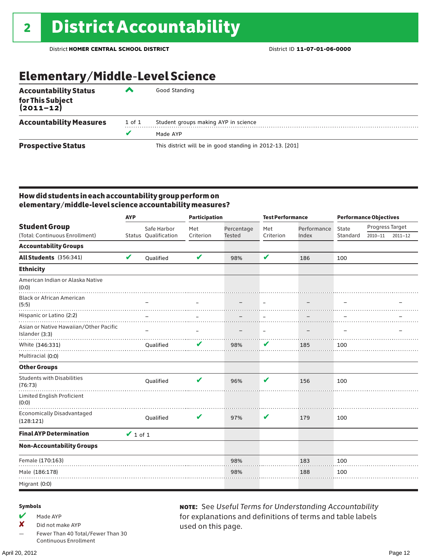# Elementary/Middle-Level Science

| <b>Accountability Status</b><br>for This Subject<br>(2011–12) | ▰      | Good Standing                                            |
|---------------------------------------------------------------|--------|----------------------------------------------------------|
| <b>Accountability Measures</b>                                | 1 of 1 | Student groups making AYP in science                     |
|                                                               | v      | Made AYP                                                 |
| <b>Prospective Status</b>                                     |        | This district will be in good standing in 2012-13. [201] |

### How did students in each accountability group perform on elementary/middle-level science accountability measures?

|                                                          | <b>AYP</b>    |                      | <b>Participation</b>       |               | <b>Test Performance</b>  |             | <b>Performance Objectives</b> |                 |             |
|----------------------------------------------------------|---------------|----------------------|----------------------------|---------------|--------------------------|-------------|-------------------------------|-----------------|-------------|
| <b>Student Group</b>                                     |               | Safe Harbor          | Met                        | Percentage    | Met                      | Performance | State                         | Progress Target |             |
| (Total: Continuous Enrollment)                           |               | Status Qualification | Criterion                  | <b>Tested</b> | Criterion                | Index       | Standard                      | $2010 - 11$     | $2011 - 12$ |
| <b>Accountability Groups</b>                             |               |                      |                            |               |                          |             |                               |                 |             |
| All Students (356:341)                                   | V             | Qualified            | $\boldsymbol{\mathcal{U}}$ | 98%           | V                        | 186         | 100                           |                 |             |
| <b>Ethnicity</b>                                         |               |                      |                            |               |                          |             |                               |                 |             |
| American Indian or Alaska Native<br>(0:0)                |               |                      |                            |               |                          |             |                               |                 |             |
| <b>Black or African American</b><br>(5:5)                |               |                      |                            |               |                          |             |                               |                 |             |
| Hispanic or Latino (2:2)                                 |               |                      |                            |               |                          |             |                               |                 |             |
| Asian or Native Hawaiian/Other Pacific<br>Islander (3:3) |               |                      |                            |               | $\overline{\phantom{m}}$ |             |                               |                 |             |
| White (346:331)                                          |               | Qualified            | V                          | 98%           | V                        | 185         | 100                           |                 |             |
| Multiracial (0:0)                                        |               |                      |                            |               |                          |             |                               |                 |             |
| <b>Other Groups</b>                                      |               |                      |                            |               |                          |             |                               |                 |             |
| <b>Students with Disabilities</b><br>(76:73)             |               | Oualified            | v                          | 96%           | V                        | 156         | 100                           |                 |             |
| Limited English Proficient<br>(0:0)                      |               |                      |                            |               |                          |             |                               |                 |             |
| <b>Economically Disadvantaged</b><br>(128:121)           |               | Qualified            | V                          | 97%           | V                        | 179         | 100                           |                 |             |
| <b>Final AYP Determination</b>                           | $\vee$ 1 of 1 |                      |                            |               |                          |             |                               |                 |             |
| <b>Non-Accountability Groups</b>                         |               |                      |                            |               |                          |             |                               |                 |             |
| Female (170:163)                                         |               |                      |                            | 98%           |                          | 183         | 100                           |                 |             |
| Male (186:178)                                           |               |                      |                            | 98%           |                          | 188         | 100                           |                 |             |
| Migrant (0:0)                                            |               |                      |                            |               |                          |             |                               |                 |             |

#### Symbols

- $M$  Made AYP
- ✘ Did not make AYP
- Fewer Than 40 Total/Fewer Than 30 Continuous Enrollment

April 20, 2012 Page 12

note: See *Useful Terms for Understanding Accountability*  for explanations and definitions of terms and table labels used on this page.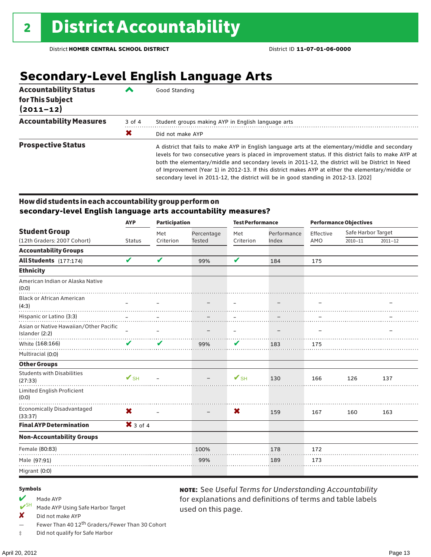# **Secondary-Level English Language Arts**

| <b>Accountability Status</b><br>for This Subject<br>$(2011 - 12)$ | ▞      | Good Standing                                                                                                                                                                                                                                                                                                                                                                                                                                                                                                 |
|-------------------------------------------------------------------|--------|---------------------------------------------------------------------------------------------------------------------------------------------------------------------------------------------------------------------------------------------------------------------------------------------------------------------------------------------------------------------------------------------------------------------------------------------------------------------------------------------------------------|
| <b>Accountability Measures</b>                                    | 3 of 4 | Student groups making AYP in English language arts                                                                                                                                                                                                                                                                                                                                                                                                                                                            |
|                                                                   | X      | Did not make AYP                                                                                                                                                                                                                                                                                                                                                                                                                                                                                              |
| <b>Prospective Status</b>                                         |        | A district that fails to make AYP in English language arts at the elementary/middle and secondary<br>levels for two consecutive years is placed in improvement status. If this district fails to make AYP at<br>both the elementary/middle and secondary levels in 2011-12, the district will be District In Need<br>of Improvement (Year 1) in 2012-13. If this district makes AYP at either the elementary/middle or<br>secondary level in 2011-12, the district will be in good standing in 2012-13. [202] |

### How did students in each accountability group perform on **secondary-level English language arts accountability measures?**

|                                                          | <b>AYP</b>               | <b>Participation</b> |                   | <b>Test Performance</b>  |                   | <b>Performance Objectives</b> |                    |             |
|----------------------------------------------------------|--------------------------|----------------------|-------------------|--------------------------|-------------------|-------------------------------|--------------------|-------------|
| <b>Student Group</b>                                     |                          | Met                  | Percentage        | Met                      | Performance       | Effective                     | Safe Harbor Target |             |
| (12th Graders: 2007 Cohort)                              | <b>Status</b>            | Criterion            | <b>Tested</b>     | Criterion                | Index             | AMO                           | $2010 - 11$        | $2011 - 12$ |
| <b>Accountability Groups</b>                             |                          |                      |                   |                          |                   |                               |                    |             |
| All Students (177:174)                                   | V                        | V                    | 99%               | V                        | 184               | 175                           |                    |             |
| <b>Ethnicity</b>                                         |                          |                      |                   |                          |                   |                               |                    |             |
| American Indian or Alaska Native<br>(0:0)                |                          |                      |                   |                          |                   |                               |                    |             |
| <b>Black or African American</b><br>(4:3)                |                          |                      |                   | $\overline{\phantom{0}}$ | -                 |                               |                    |             |
| Hispanic or Latino (3:3)                                 |                          |                      |                   |                          |                   |                               |                    |             |
| Asian or Native Hawaiian/Other Pacific<br>Islander (2:2) |                          |                      |                   | $\overline{\phantom{m}}$ | $\qquad \qquad -$ |                               |                    |             |
| White (168:166)                                          | ✔                        | V                    | 99%               | V                        | 183               | 175                           |                    |             |
| Multiracial (0:0)                                        |                          |                      |                   |                          |                   |                               |                    |             |
| <b>Other Groups</b>                                      |                          |                      |                   |                          |                   |                               |                    |             |
| <b>Students with Disabilities</b><br>(27:33)             | $\mathbf{V}_{\text{SH}}$ |                      |                   | $\mathbf{V}_{\text{SH}}$ | 130               | 166                           | 126                | 137         |
| Limited English Proficient<br>(0:0)                      |                          |                      |                   |                          |                   |                               |                    |             |
| <b>Economically Disadvantaged</b><br>(33:37)             | X                        |                      | $\qquad \qquad -$ | ×                        | 159               | 167                           | 160                | 163         |
| <b>Final AYP Determination</b>                           | $X$ 3 of 4               |                      |                   |                          |                   |                               |                    |             |
| <b>Non-Accountability Groups</b>                         |                          |                      |                   |                          |                   |                               |                    |             |
| Female (80:83)                                           |                          |                      | 100%              |                          | 178               | 172                           |                    |             |
| Male (97:91)                                             |                          |                      | 99%               |                          | 189               | 173                           |                    |             |
| Migrant (0:0)                                            |                          |                      |                   |                          |                   |                               |                    |             |

used on this page.

note: See *Useful Terms for Understanding Accountability*  for explanations and definitions of terms and table labels

#### Symbols

- Made AYP<br>  $V$ <sup>SH</sup> Made AVP
- Made AYP Using Safe Harbor Target
- X Did not make AYP
- Fewer Than 40 12<sup>th</sup> Graders/Fewer Than 30 Cohort
- ‡ Did not qualify for Safe Harbor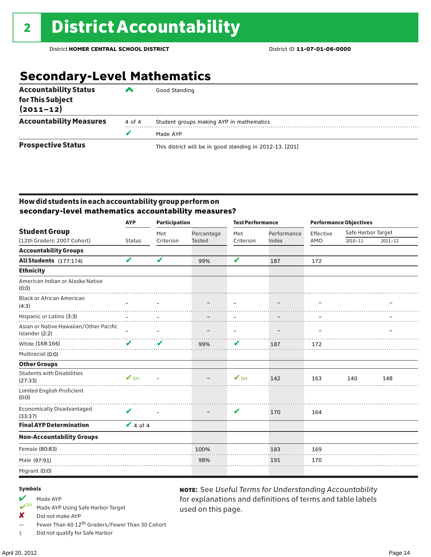# **Secondary-Level Mathematics**

| <b>Accountability Status</b><br>for This Subject<br>$(2011 - 12)$ |        | Good Standing                                            |
|-------------------------------------------------------------------|--------|----------------------------------------------------------|
| <b>Accountability Measures</b>                                    | 4 of 4 | Student groups making AYP in mathematics                 |
|                                                                   | v      | Made AYP                                                 |
| <b>Prospective Status</b>                                         |        | This district will be in good standing in 2012-13. [201] |

### How did students in each accountability group perform on **secondary-level mathematics accountability measures?**

| <b>AYP</b>                                               |                            | <b>Participation</b>     |               | <b>Test Performance</b>  |                          | <b>Performance Objectives</b> |                    |             |
|----------------------------------------------------------|----------------------------|--------------------------|---------------|--------------------------|--------------------------|-------------------------------|--------------------|-------------|
| <b>Student Group</b>                                     |                            | Met                      | Percentage    | Met                      | Performance              | Effective                     | Safe Harbor Target |             |
| (12th Graders: 2007 Cohort)                              | <b>Status</b>              | Criterion                | <b>Tested</b> | Criterion                | Index                    | AMO                           | $2010 - 11$        | $2011 - 12$ |
| <b>Accountability Groups</b>                             |                            |                          |               |                          |                          |                               |                    |             |
| All Students (177:174)                                   | $\boldsymbol{\mathcal{U}}$ | V                        | 99%           | V                        | 187                      | 172                           |                    |             |
| <b>Ethnicity</b>                                         |                            |                          |               |                          |                          |                               |                    |             |
| American Indian or Alaska Native<br>(0:0)                |                            |                          |               |                          |                          |                               |                    |             |
| <b>Black or African American</b><br>(4:3)                |                            |                          |               | $\overline{\phantom{0}}$ |                          |                               |                    |             |
| Hispanic or Latino (3:3)                                 |                            |                          |               |                          |                          |                               |                    |             |
| Asian or Native Hawaiian/Other Pacific<br>Islander (2:2) |                            | $\overline{\phantom{0}}$ |               | $\overline{\phantom{m}}$ | $\overline{\phantom{0}}$ |                               |                    |             |
| White (168:166)                                          | ✔                          | ✔                        | 99%           | V                        | 187                      | 172                           |                    |             |
| Multiracial (0:0)                                        |                            |                          |               |                          |                          |                               |                    |             |
| <b>Other Groups</b>                                      |                            |                          |               |                          |                          |                               |                    |             |
| <b>Students with Disabilities</b><br>(27:33)             | $V_{\rm SH}$               |                          |               | $V_{\text{SH}}$          | 142                      | 163                           | 140                | 148         |
| Limited English Proficient<br>(0:0)                      |                            |                          |               |                          |                          |                               |                    |             |
| Economically Disadvantaged<br>(33:37)                    | V                          |                          |               | V                        | 170                      | 164                           |                    |             |
| <b>Final AYP Determination</b>                           | $\vee$ 4 of 4              |                          |               |                          |                          |                               |                    |             |
| <b>Non-Accountability Groups</b>                         |                            |                          |               |                          |                          |                               |                    |             |
| Female (80:83)                                           |                            |                          | 100%          |                          | 183                      | 169                           |                    |             |
| Male (97:91)                                             |                            |                          | 98%           |                          | 191                      | 170                           |                    |             |
| Migrant (0:0)                                            |                            |                          |               |                          |                          |                               |                    |             |

used on this page.

note: See *Useful Terms for Understanding Accountability*  for explanations and definitions of terms and table labels

#### Symbols

- $\boldsymbol{V}$ <sup>SH</sup> Made AYP
- Made AYP Using Safe Harbor Target
- ✘ Did not make AYP
- Fewer Than 40 12th Graders/Fewer Than 30 Cohort
- ‡ Did not qualify for Safe Harbor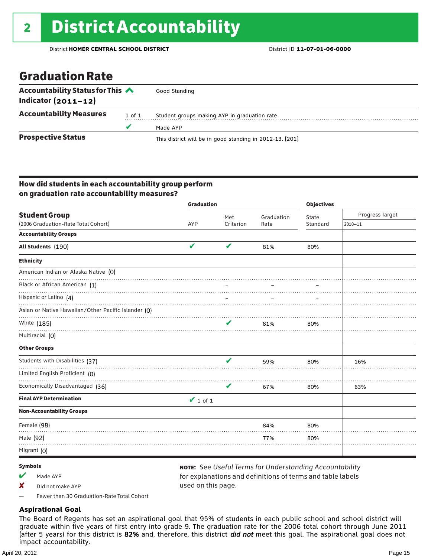### Graduation Rate

| Accountability Status for This $\triangle$<br>Indicator $(2011 - 12)$ |  | Good Standing                                            |
|-----------------------------------------------------------------------|--|----------------------------------------------------------|
| <b>Accountability Measures</b><br>1 of 1                              |  | Student groups making AYP in graduation rate             |
|                                                                       |  | Made AYP                                                 |
| <b>Prospective Status</b>                                             |  | This district will be in good standing in 2012-13. [201] |

### How did students in each accountability group perform on graduation rate accountability measures?

|                                                     | <b>Graduation</b> |           |            | <b>Objectives</b> |                 |  |
|-----------------------------------------------------|-------------------|-----------|------------|-------------------|-----------------|--|
| <b>Student Group</b>                                |                   | Met       | Graduation | State             | Progress Target |  |
| (2006 Graduation-Rate Total Cohort)                 | AYP               | Criterion | Rate       | Standard          | $2010 - 11$     |  |
| <b>Accountability Groups</b>                        |                   |           |            |                   |                 |  |
| All Students (190)                                  | V                 | V         | 81%        | 80%               |                 |  |
| <b>Ethnicity</b>                                    |                   |           |            |                   |                 |  |
| American Indian or Alaska Native (0)                |                   |           |            |                   |                 |  |
| Black or African American (1)                       |                   |           |            |                   |                 |  |
| Hispanic or Latino (4)                              |                   |           |            |                   |                 |  |
| Asian or Native Hawaiian/Other Pacific Islander (O) |                   |           |            |                   |                 |  |
| White (185)                                         |                   | ✔         | 81%        | 80%               |                 |  |
| Multiracial (0)                                     |                   |           |            |                   |                 |  |
| <b>Other Groups</b>                                 |                   |           |            |                   |                 |  |
| Students with Disabilities (37)                     |                   | v         | 59%        | 80%               | 16%             |  |
| Limited English Proficient (0)                      |                   |           |            |                   |                 |  |
| Economically Disadvantaged (36)                     |                   | V         | 67%        | 80%               | 63%             |  |
| <b>Final AYP Determination</b>                      | $\vee$ 1 of 1     |           |            |                   |                 |  |
| <b>Non-Accountability Groups</b>                    |                   |           |            |                   |                 |  |
| Female (98)                                         |                   |           | 84%        | 80%               |                 |  |
| Male (92)                                           |                   |           | 77%        | 80%               |                 |  |
| Migrant (0)                                         |                   |           |            |                   |                 |  |

#### Symbols

- $M$  Made AYP
- ✘ Did not make AYP

note: See *Useful Terms for Understanding Accountability*  for explanations and definitions of terms and table labels used on this page.

— Fewer than 30 Graduation-Rate Total Cohort

### **Aspirational Goal**

The Board of Regents has set an aspirational goal that 95% of students in each public school and school district will graduate within five years of first entry into grade 9. The graduation rate for the 2006 total cohort through June 2011 (after 5 years) for this district is 82% and, therefore, this district *did not* meet this goal. The aspirational goal does not impact accountability.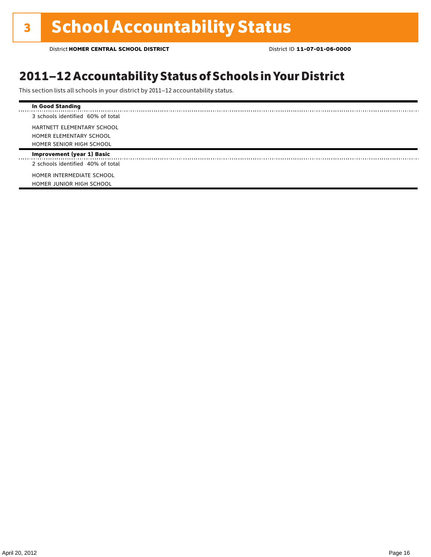### 2011–12 Accountability Status of Schools in Your District

This section lists all schools in your district by 2011–12 accountability status.

| <b>In Good Standing</b>           |
|-----------------------------------|
| 3 schools identified 60% of total |
| HARTNETT ELEMENTARY SCHOOL        |
| HOMER ELEMENTARY SCHOOL           |
| HOMER SENIOR HIGH SCHOOL          |
| <b>Improvement (year 1) Basic</b> |
| 2 schools identified 40% of total |
| HOMER INTERMEDIATE SCHOOL         |
| HOMER JUNIOR HIGH SCHOOL          |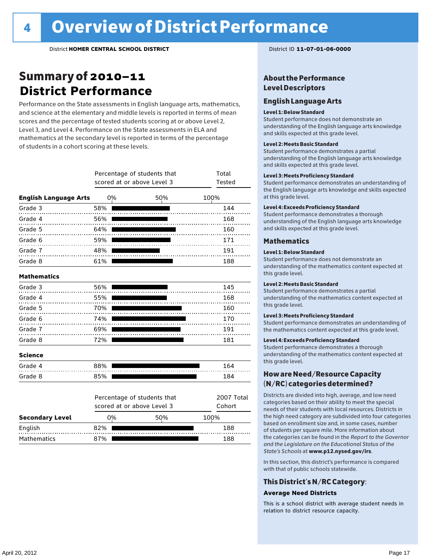### Summary of 2010–11 **District Performance**

Performance on the State assessments in English language arts, mathematics, and science at the elementary and middle levels is reported in terms of mean scores and the percentage of tested students scoring at or above Level 2, Level 3, and Level 4. Performance on the State assessments in ELA and mathematics at the secondary level is reported in terms of the percentage of students in a cohort scoring at these levels.

|                              |     | Percentage of students that<br>scored at or above Level 3 | Total<br>Tested      |      |
|------------------------------|-----|-----------------------------------------------------------|----------------------|------|
| <b>English Language Arts</b> | 0%  |                                                           | 50%                  | 100% |
| Grade 3                      | 58% |                                                           |                      | 144  |
| Grade 4                      | 56% |                                                           |                      | 168  |
| Grade 5                      | 64% |                                                           |                      | 160  |
| Grade 6                      | 59% |                                                           |                      | 171  |
| Grade 7                      | 48% |                                                           |                      | 191  |
| Grade 8                      | 61% |                                                           |                      | 188  |
| <b>Mathematics</b>           |     |                                                           |                      |      |
| Grade 3                      | 56% |                                                           |                      | 145  |
| Grade 4                      | 55% |                                                           |                      | 168  |
| Grade 5                      | 70% |                                                           |                      | 160  |
| Grade 6                      | 74% |                                                           |                      | 170  |
| Grade 7                      | 69% |                                                           |                      | 191  |
| Grade 8                      | 72% |                                                           |                      | 181  |
| <b>Science</b>               |     |                                                           |                      |      |
| Grade 4                      | 88% |                                                           |                      | 164  |
| Grade 8                      | 85% |                                                           |                      | 184  |
|                              |     | Percentage of students that<br>scored at or above Level 3 | 2007 Total<br>Cohort |      |
| <b>Secondary Level</b>       | 0%  |                                                           | 50%                  | 100% |

English 82% 188 Mathematics 87% 87% 188

### About the Performance Level Descriptors

### English Language Arts

#### Level 1: Below Standard

Student performance does not demonstrate an understanding of the English language arts knowledge and skills expected at this grade level.

#### Level 2: Meets Basic Standard

Student performance demonstrates a partial understanding of the English language arts knowledge and skills expected at this grade level.

#### Level 3: Meets Proficiency Standard

Student performance demonstrates an understanding of the English language arts knowledge and skills expected at this grade level.

#### Level 4: Exceeds Proficiency Standard

Student performance demonstrates a thorough understanding of the English language arts knowledge and skills expected at this grade level.

#### Mathematics

#### Level 1: Below Standard

Student performance does not demonstrate an understanding of the mathematics content expected at this grade level.

#### Level 2: Meets Basic Standard

Student performance demonstrates a partial understanding of the mathematics content expected at this grade level.

#### Level 3: Meets Proficiency Standard

Student performance demonstrates an understanding of the mathematics content expected at this grade level.

#### Level 4: Exceeds Proficiency Standard

Student performance demonstrates a thorough understanding of the mathematics content expected at this grade level.

### How are Need/Resource Capacity (N/RC) categories determined?

Districts are divided into high, average, and low need categories based on their ability to meet the special needs of their students with local resources. Districts in the high need category are subdivided into four categories based on enrollment size and, in some cases, number of students per square mile. More information about the categories can be found in the *Report to the Governor and the Legislature on the Educational Status of the State's Schools* at www.p12.nysed.gov/irs.

In this section, this district's performance is compared with that of public schools statewide.

### This District's N/RC Category:

#### **Average Need Districts**

This is a school district with average student needs in relation to district resource capacity.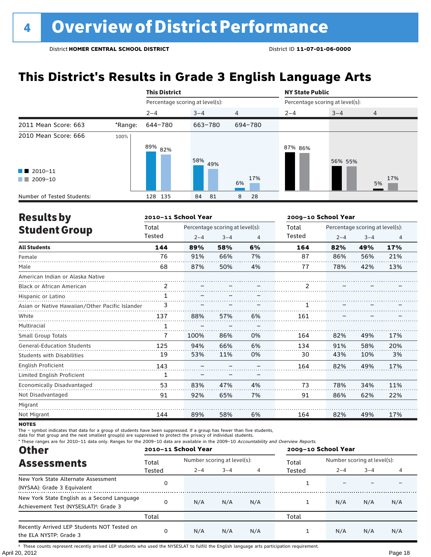# **This District's Results in Grade 3 English Language Arts**

|                                                                                                                                                                                                                                                                                                   |         | <b>This District</b>            |            |                | <b>NY State Public</b> |                                                                         |           |  |
|---------------------------------------------------------------------------------------------------------------------------------------------------------------------------------------------------------------------------------------------------------------------------------------------------|---------|---------------------------------|------------|----------------|------------------------|-------------------------------------------------------------------------|-----------|--|
|                                                                                                                                                                                                                                                                                                   |         | Percentage scoring at level(s): |            |                |                        | Percentage scoring at level(s):<br>$3 - 4$<br>$\overline{4}$<br>56% 55% |           |  |
|                                                                                                                                                                                                                                                                                                   |         | $2 - 4$                         | $3 - 4$    | $\overline{4}$ | $2 - 4$                |                                                                         |           |  |
| 2011 Mean Score: 663                                                                                                                                                                                                                                                                              | *Range: | 644-780                         | 663-780    | 694-780        |                        |                                                                         |           |  |
| 2010 Mean Score: 666<br>$\blacksquare$ 2010-11<br>2009-10<br><b>The Contract of the Contract of the Contract of the Contract of the Contract of the Contract of the Contract of the Contract of the Contract of the Contract of the Contract of the Contract of The Contract of The Contract </b> | 100%    | 89% 82%                         | 58%<br>49% | 17%<br>6%      | 87% 86%                |                                                                         | 17%<br>5% |  |
| Number of Tested Students:                                                                                                                                                                                                                                                                        |         | 135<br>128                      | 84<br>81   | 28<br>8        |                        |                                                                         |           |  |

| <b>Results by</b>                               |               | 2010-11 School Year |                                 |    |               | 2009-10 School Year |                                 |                |  |
|-------------------------------------------------|---------------|---------------------|---------------------------------|----|---------------|---------------------|---------------------------------|----------------|--|
| <b>Student Group</b>                            | Total         |                     | Percentage scoring at level(s): |    | Total         |                     | Percentage scoring at level(s): |                |  |
|                                                 | Tested        | $2 - 4$             | $3 - 4$                         | 4  | <b>Tested</b> | $2 - 4$             | $3 - 4$                         | $\overline{4}$ |  |
| <b>All Students</b>                             | 144           | 89%                 | 58%                             | 6% | 164           | 82%                 | 49%                             | 17%            |  |
| Female                                          | 76            | 91%                 | 66%                             | 7% | 87            | 86%                 | 56%                             | 21%            |  |
| Male                                            | 68            | 87%                 | 50%                             | 4% | 77            | 78%                 | 42%                             | 13%            |  |
| American Indian or Alaska Native                |               |                     |                                 |    |               |                     |                                 |                |  |
| <b>Black or African American</b>                | $\mathcal{P}$ |                     |                                 |    | 2             |                     |                                 |                |  |
| Hispanic or Latino                              | $\mathbf{1}$  |                     |                                 |    |               |                     |                                 |                |  |
| Asian or Native Hawaiian/Other Pacific Islander |               |                     |                                 |    |               |                     |                                 |                |  |
| White                                           | 137           | 88%                 | 57%                             | 6% | 161           |                     |                                 |                |  |
| Multiracial                                     | $\mathbf{1}$  |                     |                                 |    |               |                     |                                 |                |  |
| <b>Small Group Totals</b>                       | 7             | 100%                | 86%                             | 0% | 164           | 82%                 | 49%                             | 17%            |  |
| <b>General-Education Students</b>               | 125           | 94%                 | 66%                             | 6% | 134           | 91%                 | 58%                             | 20%            |  |
| <b>Students with Disabilities</b>               | 19            | 53%                 | 11%                             | 0% | 30            | 43%                 | 10%                             | 3%             |  |
| English Proficient                              | 143           |                     |                                 |    | 164           | 82%                 | 49%                             | 17%            |  |
| Limited English Proficient                      | 1             |                     |                                 |    |               |                     |                                 |                |  |
| <b>Economically Disadvantaged</b>               | 53            | 83%                 | 47%                             | 4% | 73            | 78%                 | 34%                             | 11%            |  |
| Not Disadvantaged                               | 91            | 92%                 | 65%                             | 7% | 91            | 86%                 | 62%                             | 22%            |  |
| Migrant                                         |               |                     |                                 |    |               |                     |                                 |                |  |
| Not Migrant                                     | 144           | 89%                 | 58%                             | 6% | 164           | 82%                 | 49%                             | 17%            |  |

**NOTES** 

The – symbol indicates that data for a group of students have been suppressed. If a group has fewer than five students,

data for that group and the next smallest group(s) are suppressed to protect the privacy of individual students.

\* These ranges are for 2010–11 data only. Ranges for the 2009–10 data are available in the 2009–10 Accountability and Overview Reports.

| <b>Other</b>                                                                                      | 2010-11 School Year |                             |         |     | 2009-10 School Year |                                  |     |     |
|---------------------------------------------------------------------------------------------------|---------------------|-----------------------------|---------|-----|---------------------|----------------------------------|-----|-----|
| <b>Assessments</b>                                                                                | Total               | Number scoring at level(s): |         |     | Total               | Number scoring at level(s):      |     |     |
|                                                                                                   | Tested              | $2 - 4$                     | $3 - 4$ |     | Tested              | $3 - 4$<br>$2 - 4$<br>N/A<br>N/A | 4   |     |
| New York State Alternate Assessment<br>(NYSAA): Grade 3 Equivalent                                | 0                   |                             |         |     |                     |                                  |     |     |
| New York State English as a Second Language<br>Achievement Test (NYSESLAT) <sup>+</sup> : Grade 3 | O                   | N/A                         | N/A     | N/A |                     |                                  |     | N/A |
|                                                                                                   | Total               |                             |         |     | Total               |                                  |     |     |
| Recently Arrived LEP Students NOT Tested on<br>the ELA NYSTP: Grade 3                             | 0                   | N/A                         | N/A     | N/A |                     | N/A                              | N/A | N/A |

April 20, 2012 Page 18 † These counts represent recently arrived LEP students who used the NYSESLAT to fulfill the English language arts participation requirement.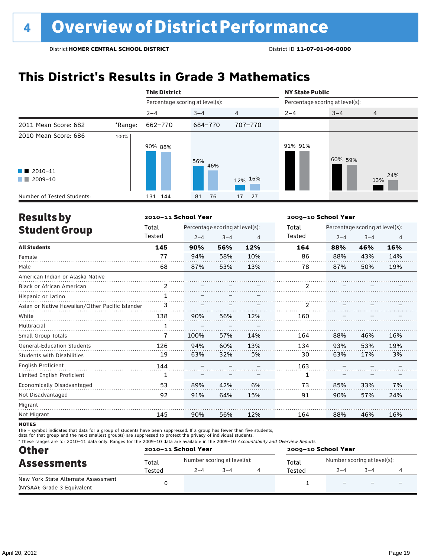# **This District's Results in Grade 3 Mathematics**

|                                                                             |                                                                                     | <b>This District</b> |            |          | <b>NY State Public</b>          |         |            |  |
|-----------------------------------------------------------------------------|-------------------------------------------------------------------------------------|----------------------|------------|----------|---------------------------------|---------|------------|--|
|                                                                             | Percentage scoring at level(s):<br>$2 - 4$<br>*Range:<br>662-770<br>100%<br>90% 88% |                      |            |          | Percentage scoring at level(s): |         |            |  |
|                                                                             |                                                                                     |                      | $3 - 4$    | 4        | $2 - 4$                         | $3 - 4$ | 4          |  |
| 2011 Mean Score: 682                                                        |                                                                                     |                      | 684-770    | 707-770  |                                 |         |            |  |
| 2010 Mean Score: 686<br>$\blacksquare$ 2010-11<br>2009-10<br><b>COLLEGE</b> |                                                                                     |                      | 56%<br>46% | 12% 16%  | 91% 91%                         | 60% 59% | 24%<br>13% |  |
| Number of Tested Students:                                                  |                                                                                     | 131 144              | 76<br>81   | 27<br>17 |                                 |         |            |  |

| <b>Results by</b>                               |              | 2010-11 School Year |                                 |                |               | 2009-10 School Year |                                 |     |  |
|-------------------------------------------------|--------------|---------------------|---------------------------------|----------------|---------------|---------------------|---------------------------------|-----|--|
| <b>Student Group</b>                            | Total        |                     | Percentage scoring at level(s): |                | Total         |                     | Percentage scoring at level(s): |     |  |
|                                                 | Tested       | $2 - 4$             | $3 - 4$                         | $\overline{4}$ | <b>Tested</b> | $2 - 4$             | $3 - 4$                         | 4   |  |
| <b>All Students</b>                             | 145          | 90%                 | 56%                             | 12%            | 164           | 88%                 | 46%                             | 16% |  |
| Female                                          | 77           | 94%                 | 58%                             | 10%            | 86            | 88%                 | 43%                             | 14% |  |
| Male                                            | 68           | 87%                 | 53%                             | 13%            | 78            | 87%                 | 50%                             | 19% |  |
| American Indian or Alaska Native                |              |                     |                                 |                |               |                     |                                 |     |  |
| <b>Black or African American</b>                | 2            |                     |                                 |                | 2             |                     |                                 |     |  |
| Hispanic or Latino                              | 1            |                     |                                 |                |               |                     |                                 |     |  |
| Asian or Native Hawaiian/Other Pacific Islander | 3            |                     |                                 |                | 2             |                     |                                 |     |  |
| White                                           | 138          | 90%                 | 56%                             | 12%            | 160           |                     |                                 |     |  |
| Multiracial                                     | $\mathbf{1}$ |                     |                                 |                |               |                     |                                 |     |  |
| Small Group Totals                              | 7            | 100%                | 57%                             | 14%            | 164           | 88%                 | 46%                             | 16% |  |
| <b>General-Education Students</b>               | 126          | 94%                 | 60%                             | 13%            | 134           | 93%                 | 53%                             | 19% |  |
| <b>Students with Disabilities</b>               | 19           | 63%                 | 32%                             | 5%             | 30            | 63%                 | 17%                             | 3%  |  |
| English Proficient                              | 144          |                     |                                 |                | 163           |                     |                                 |     |  |
| Limited English Proficient                      | 1            |                     |                                 |                | 1             |                     |                                 |     |  |
| Economically Disadvantaged                      | 53           | 89%                 | 42%                             | 6%             | 73            | 85%                 | 33%                             | 7%  |  |
| Not Disadvantaged                               | 92           | 91%                 | 64%                             | 15%            | 91            | 90%                 | 57%                             | 24% |  |
| Migrant                                         |              |                     |                                 |                |               |                     |                                 |     |  |
| Not Migrant                                     | 145          | 90%                 | 56%                             | 12%            | 164           | 88%                 | 46%                             | 16% |  |
|                                                 |              |                     |                                 |                |               |                     |                                 |     |  |

**NOTES** 

The – symbol indicates that data for a group of students have been suppressed. If a group has fewer than five students,<br>data for that group and the next smallest group(s) are suppressed to protect the privacy of individual

\* These ranges are for 2010–11 data only. Ranges for the 2009–10 data are available in the 2009–10 Accountability and Overview Reports.

| <b>Other</b>                        |        | 2010-11 School Year |                             | 2009-10 School Year |                             |         |   |  |
|-------------------------------------|--------|---------------------|-----------------------------|---------------------|-----------------------------|---------|---|--|
| <b>Assessments</b>                  | Total  |                     | Number scoring at level(s): | Total               | Number scoring at level(s): |         |   |  |
|                                     | Tested | $2 - 4$             | $3 - 4$                     | Tested              | $2 - 4$                     | $3 - 4$ |   |  |
| New York State Alternate Assessment |        |                     |                             |                     | $\overline{\phantom{0}}$    |         | - |  |
| (NYSAA): Grade 3 Equivalent         |        |                     |                             |                     |                             |         |   |  |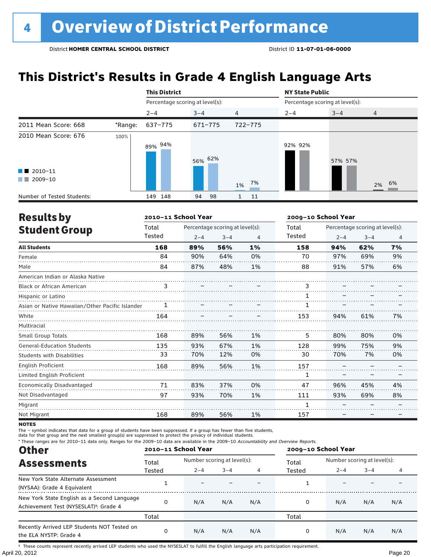# **This District's Results in Grade 4 English Language Arts**

|                                                                        |         | <b>This District</b>            |           |                | <b>NY State Public</b>          |         |                |  |
|------------------------------------------------------------------------|---------|---------------------------------|-----------|----------------|---------------------------------|---------|----------------|--|
|                                                                        |         | Percentage scoring at level(s): |           |                | Percentage scoring at level(s): |         |                |  |
|                                                                        |         | $2 - 4$                         | $3 - 4$   | $\overline{4}$ | $2 - 4$                         | $3 - 4$ | $\overline{4}$ |  |
| 2011 Mean Score: 668                                                   | *Range: | 637-775                         | 671-775   | 722-775        |                                 |         |                |  |
| 2010 Mean Score: 676<br>$\blacksquare$ 2010-11<br>2009-10<br>a sa Bara | 100%    | 89% <sup>94%</sup>              | 56% 62%   | 7%<br>1%       | 92% 92%                         | 57% 57% | 2% 6%          |  |
| Number of Tested Students:                                             |         | 149 148                         | 94<br>-98 | 11             |                                 |         |                |  |

| <b>Results by</b>                               |        | 2010-11 School Year |                                 |    | 2009-10 School Year |         |                                 |                |
|-------------------------------------------------|--------|---------------------|---------------------------------|----|---------------------|---------|---------------------------------|----------------|
| <b>Student Group</b>                            | Total  |                     | Percentage scoring at level(s): |    | Total               |         | Percentage scoring at level(s): |                |
|                                                 | Tested | $2 - 4$             | $3 - 4$                         | 4  | Tested              | $2 - 4$ | $3 - 4$                         | $\overline{4}$ |
| <b>All Students</b>                             | 168    | 89%                 | 56%                             | 1% | 158                 | 94%     | 62%                             | 7%             |
| Female                                          | 84     | 90%                 | 64%                             | 0% | 70                  | 97%     | 69%                             | 9%             |
| Male                                            | 84     | 87%                 | 48%                             | 1% | 88                  | 91%     | 57%                             | 6%             |
| American Indian or Alaska Native                |        |                     |                                 |    |                     |         |                                 |                |
| <b>Black or African American</b>                | 3      |                     |                                 |    | 3                   |         |                                 |                |
| Hispanic or Latino                              |        |                     |                                 |    |                     |         |                                 |                |
| Asian or Native Hawaiian/Other Pacific Islander |        |                     |                                 |    |                     |         |                                 |                |
| White                                           | 164    |                     |                                 |    | 153                 | 94%     | 61%                             | 7%             |
| Multiracial                                     |        |                     |                                 |    |                     |         |                                 |                |
| <b>Small Group Totals</b>                       | 168    | 89%                 | 56%                             | 1% | 5                   | 80%     | 80%                             | 0%             |
| <b>General-Education Students</b>               | 135    | 93%                 | 67%                             | 1% | 128                 | 99%     | 75%                             | 9%             |
| <b>Students with Disabilities</b>               | 33     | 70%                 | 12%                             | 0% | 30                  | 70%     | 7%                              | 0%             |
| English Proficient                              | 168    | 89%                 | 56%                             | 1% | 157                 |         |                                 |                |
| Limited English Proficient                      |        |                     |                                 |    | 1                   |         |                                 |                |
| Economically Disadvantaged                      | 71     | 83%                 | 37%                             | 0% | 47                  | 96%     | 45%                             | 4%             |
| Not Disadvantaged                               | 97     | 93%                 | 70%                             | 1% | 111                 | 93%     | 69%                             | 8%             |
| Migrant                                         |        |                     |                                 |    |                     |         |                                 |                |
| Not Migrant                                     | 168    | 89%                 | 56%                             | 1% | 157                 |         |                                 |                |

**NOTES** 

The – symbol indicates that data for a group of students have been suppressed. If a group has fewer than five students,

data for that group and the next smallest group(s) are suppressed to protect the privacy of individual students.

\* These ranges are for 2010–11 data only. Ranges for the 2009–10 data are available in the 2009–10 Accountability and Overview Reports.

| <b>Other</b>                                                                                      |        | 2010-11 School Year         |         |     |        | 2009-10 School Year         |                       |     |  |
|---------------------------------------------------------------------------------------------------|--------|-----------------------------|---------|-----|--------|-----------------------------|-----------------------|-----|--|
| <b>Assessments</b>                                                                                | Total  | Number scoring at level(s): |         |     | Total  | Number scoring at level(s): |                       |     |  |
|                                                                                                   | Tested | $2 - 4$                     | $3 - 4$ | 4   | Tested | $2 - 4$                     | $3 - 4$<br>N/A<br>N/A | 4   |  |
| New York State Alternate Assessment<br>(NYSAA): Grade 4 Equivalent                                |        |                             |         |     |        |                             |                       |     |  |
| New York State English as a Second Language<br>Achievement Test (NYSESLAT) <sup>†</sup> : Grade 4 |        | N/A                         | N/A     | N/A | 0      | N/A                         |                       | N/A |  |
|                                                                                                   | Total  |                             |         |     | Total  |                             |                       |     |  |
| Recently Arrived LEP Students NOT Tested on<br>the ELA NYSTP: Grade 4                             |        | N/A                         | N/A     | N/A | 0      | N/A                         |                       | N/A |  |

April 20, 2012 Page 20 † These counts represent recently arrived LEP students who used the NYSESLAT to fulfill the English language arts participation requirement.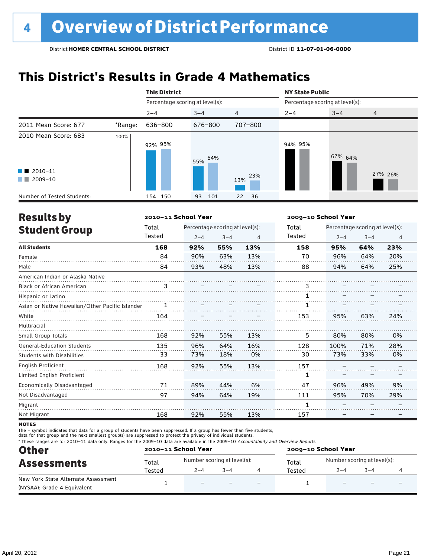# **This District's Results in Grade 4 Mathematics**

|                                                                                                                                                                                                                                                                           |         | <b>This District</b>            |            |                |                                 | <b>NY State Public</b> |                |  |  |
|---------------------------------------------------------------------------------------------------------------------------------------------------------------------------------------------------------------------------------------------------------------------------|---------|---------------------------------|------------|----------------|---------------------------------|------------------------|----------------|--|--|
|                                                                                                                                                                                                                                                                           |         | Percentage scoring at level(s): |            |                | Percentage scoring at level(s): |                        |                |  |  |
|                                                                                                                                                                                                                                                                           |         | $2 - 4$                         | $3 - 4$    | $\overline{4}$ | $2 - 4$                         | $3 - 4$                | $\overline{4}$ |  |  |
| 2011 Mean Score: 677                                                                                                                                                                                                                                                      | *Range: | 636-800                         | 676-800    | 707-800        |                                 |                        |                |  |  |
| 2010 Mean Score: 683                                                                                                                                                                                                                                                      | 100%    | 92% 95%                         | 64%<br>55% |                | 94% 95%                         | 67% 64%                |                |  |  |
| $\blacksquare$ 2010-11<br>2009-10<br><b>The Contract of the Contract of the Contract of the Contract of the Contract of the Contract of the Contract of the Contract of the Contract of the Contract of the Contract of the Contract of The Contract of The Contract </b> |         |                                 |            | 23%<br>13%     |                                 |                        | 27% 26%        |  |  |
| Number of Tested Students:                                                                                                                                                                                                                                                |         | 154 150                         | 93<br>101  | 22<br>36       |                                 |                        |                |  |  |

| <b>Results by</b>                               |        | 2010-11 School Year |                                 |     |        | 2009-10 School Year |                                 |                |  |
|-------------------------------------------------|--------|---------------------|---------------------------------|-----|--------|---------------------|---------------------------------|----------------|--|
| <b>Student Group</b>                            | Total  |                     | Percentage scoring at level(s): |     | Total  |                     | Percentage scoring at level(s): |                |  |
|                                                 | Tested | $2 - 4$             | $3 - 4$                         | 4   | Tested | $2 - 4$             | $3 - 4$                         | $\overline{4}$ |  |
| <b>All Students</b>                             | 168    | 92%                 | 55%                             | 13% | 158    | 95%                 | 64%                             | 23%            |  |
| Female                                          | 84     | 90%                 | 63%                             | 13% | 70     | 96%                 | 64%                             | 20%            |  |
| Male                                            | 84     | 93%                 | 48%                             | 13% | 88     | 94%                 | 64%                             | 25%            |  |
| American Indian or Alaska Native                |        |                     |                                 |     |        |                     |                                 |                |  |
| <b>Black or African American</b>                | 3      |                     |                                 |     | 3      |                     |                                 |                |  |
| Hispanic or Latino                              |        |                     |                                 |     |        |                     |                                 |                |  |
| Asian or Native Hawaiian/Other Pacific Islander |        |                     |                                 |     |        |                     |                                 |                |  |
| White                                           | 164    |                     |                                 |     | 153    | 95%                 | 63%                             | 24%            |  |
| Multiracial                                     |        |                     |                                 |     |        |                     |                                 |                |  |
| <b>Small Group Totals</b>                       | 168    | 92%                 | 55%                             | 13% | 5      | 80%                 | 80%                             | 0%             |  |
| <b>General-Education Students</b>               | 135    | 96%                 | 64%                             | 16% | 128    | 100%                | 71%                             | 28%            |  |
| <b>Students with Disabilities</b>               | 33     | 73%                 | 18%                             | 0%  | 30     | 73%                 | 33%                             | 0%             |  |
| English Proficient                              | 168    | 92%                 | 55%                             | 13% | 157    |                     |                                 |                |  |
| Limited English Proficient                      |        |                     |                                 |     | 1      |                     |                                 |                |  |
| Economically Disadvantaged                      | 71     | 89%                 | 44%                             | 6%  | 47     | 96%                 | 49%                             | 9%             |  |
| Not Disadvantaged                               | 97     | 94%                 | 64%                             | 19% | 111    | 95%                 | 70%                             | 29%            |  |
| Migrant                                         |        |                     |                                 |     |        |                     |                                 |                |  |
| Not Migrant                                     | 168    | 92%                 | 55%                             | 13% | 157    |                     |                                 |                |  |

**NOTES** 

The – symbol indicates that data for a group of students have been suppressed. If a group has fewer than five students,

data for that group and the next smallest group(s) are suppressed to protect the privacy of individual students.

\* These ranges are for 2010–11 data only. Ranges for the 2009–10 data are available in the 2009–10 Accountability and Overview Reports.

| <b>Other</b>                        | 2010-11 School Year |                          |                                      |                          | 2009-10 School Year |                             |         |   |  |
|-------------------------------------|---------------------|--------------------------|--------------------------------------|--------------------------|---------------------|-----------------------------|---------|---|--|
| <b>Assessments</b>                  | Total               |                          | Number scoring at level(s):<br>Total |                          |                     | Number scoring at level(s): |         |   |  |
|                                     | Tested              | $2 - 4$                  | $3 - 4$                              |                          | Tested              | $2 - 4$                     | $3 - 4$ |   |  |
| New York State Alternate Assessment |                     | $\overline{\phantom{0}}$ |                                      | $\overline{\phantom{0}}$ |                     | $\overline{\phantom{0}}$    |         | - |  |
| (NYSAA): Grade 4 Equivalent         |                     |                          |                                      |                          |                     |                             |         |   |  |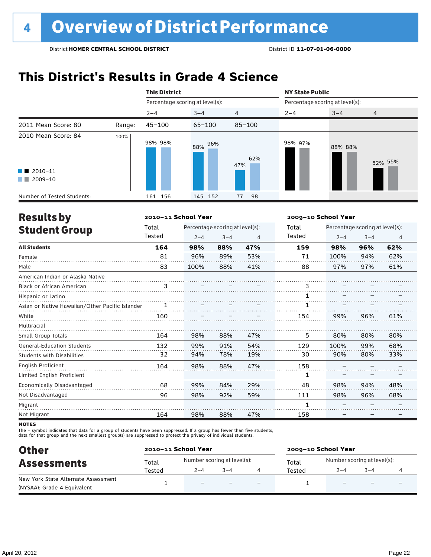### **This District's Results in Grade 4 Science**

|                                                                                                                                                                                   |        | <b>This District</b>            |            |                | <b>NY State Public</b><br>Percentage scoring at level(s): |         |                |  |
|-----------------------------------------------------------------------------------------------------------------------------------------------------------------------------------|--------|---------------------------------|------------|----------------|-----------------------------------------------------------|---------|----------------|--|
|                                                                                                                                                                                   |        | Percentage scoring at level(s): |            |                |                                                           |         |                |  |
|                                                                                                                                                                                   |        | $2 - 4$                         | $3 - 4$    | $\overline{4}$ | $2 - 4$                                                   | $3 - 4$ | $\overline{4}$ |  |
| 2011 Mean Score: 80                                                                                                                                                               | Range: | $45 - 100$                      | $65 - 100$ | $85 - 100$     |                                                           |         |                |  |
| 2010 Mean Score: 84<br>$\blacksquare$ 2010-11<br>2009-10<br><b>The Contract of the Contract of the Contract of the Contract of the Contract of the Contract of the Contract o</b> | 100%   | 98% 98%                         | 96%<br>88% | 62%<br>47%     | 98% 97%                                                   | 88% 88% | 52% 55%        |  |
| Number of Tested Students:                                                                                                                                                        |        | 161 156                         | 145 152    | 98<br>77       |                                                           |         |                |  |

| <b>Results by</b>                               |        | 2010-11 School Year |                                 |     |        | 2009-10 School Year |                                 |                |  |
|-------------------------------------------------|--------|---------------------|---------------------------------|-----|--------|---------------------|---------------------------------|----------------|--|
| <b>Student Group</b>                            | Total  |                     | Percentage scoring at level(s): |     | Total  |                     | Percentage scoring at level(s): |                |  |
|                                                 | Tested | $2 - 4$             | $3 - 4$                         | 4   | Tested | $2 - 4$             | $3 - 4$                         | $\overline{4}$ |  |
| <b>All Students</b>                             | 164    | 98%                 | 88%                             | 47% | 159    | 98%                 | 96%                             | 62%            |  |
| Female                                          | 81     | 96%                 | 89%                             | 53% | 71     | 100%                | 94%                             | 62%            |  |
| Male                                            | 83     | 100%                | 88%                             | 41% | 88     | 97%                 | 97%                             | 61%            |  |
| American Indian or Alaska Native                |        |                     |                                 |     |        |                     |                                 |                |  |
| <b>Black or African American</b>                | 3      |                     |                                 |     | 3      |                     |                                 |                |  |
| Hispanic or Latino                              |        |                     |                                 |     |        |                     |                                 |                |  |
| Asian or Native Hawaiian/Other Pacific Islander | 1      |                     |                                 |     |        |                     |                                 |                |  |
| White                                           | 160    |                     |                                 |     | 154    | 99%                 | 96%                             | 61%            |  |
| Multiracial                                     |        |                     |                                 |     |        |                     |                                 |                |  |
| Small Group Totals                              | 164    | 98%                 | 88%                             | 47% | 5      | 80%                 | 80%                             | 80%            |  |
| <b>General-Education Students</b>               | 132    | 99%                 | 91%                             | 54% | 129    | 100%                | 99%                             | 68%            |  |
| Students with Disabilities                      | 32     | 94%                 | 78%                             | 19% | 30     | 90%                 | 80%                             | 33%            |  |
| <b>English Proficient</b>                       | 164    | 98%                 | 88%                             | 47% | 158    |                     |                                 |                |  |
| Limited English Proficient                      |        |                     |                                 |     | 1      |                     |                                 |                |  |
| Economically Disadvantaged                      | 68     | 99%                 | 84%                             | 29% | 48     | 98%                 | 94%                             | 48%            |  |
| Not Disadvantaged                               | 96     | 98%                 | 92%                             | 59% | 111    | 98%                 | 96%                             | 68%            |  |
| Migrant                                         |        |                     |                                 |     |        |                     |                                 |                |  |
| Not Migrant                                     | 164    | 98%                 | 88%                             | 47% | 158    |                     |                                 |                |  |

**NOTES** 

The – symbol indicates that data for a group of students have been suppressed. If a group has fewer than five students,<br>data for that group and the next smallest group(s) are suppressed to protect the privacy of individual

| <b>Other</b>                        |        | 2010-11 School Year         |         |                          | 2009-10 School Year |                          |                             |                          |  |
|-------------------------------------|--------|-----------------------------|---------|--------------------------|---------------------|--------------------------|-----------------------------|--------------------------|--|
| <b>Assessments</b>                  | Total  | Number scoring at level(s): |         |                          | Total               |                          | Number scoring at level(s): |                          |  |
|                                     | Tested | $2 - 4$                     | $3 - 4$ |                          | Tested              | $2 - 4$                  | $3 - 4$                     |                          |  |
| New York State Alternate Assessment |        | $\overline{\phantom{0}}$    |         | $\overline{\phantom{0}}$ |                     | $\overline{\phantom{0}}$ | $\overline{\phantom{0}}$    | $\overline{\phantom{0}}$ |  |
| (NYSAA): Grade 4 Equivalent         |        |                             |         |                          |                     |                          |                             |                          |  |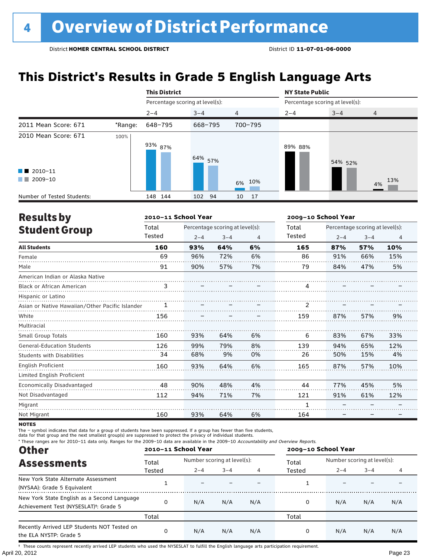# **This District's Results in Grade 5 English Language Arts**

|                                                                            |         | <b>This District</b>            |         |                | <b>NY State Public</b>          |         |                |  |
|----------------------------------------------------------------------------|---------|---------------------------------|---------|----------------|---------------------------------|---------|----------------|--|
|                                                                            |         | Percentage scoring at level(s): |         |                | Percentage scoring at level(s): |         |                |  |
|                                                                            |         | $2 - 4$                         | $3 - 4$ | $\overline{4}$ | $2 - 4$                         | $3 - 4$ | $\overline{4}$ |  |
| 2011 Mean Score: 671                                                       | *Range: | 648-795                         | 668-795 | 700-795        |                                 |         |                |  |
| 2010 Mean Score: 671<br>$\blacksquare$ 2010-11<br>2009-10<br><b>The Co</b> | 100%    | 93% <sub>87%</sub>              | 64% 57% | 6% 10%         | 89% 88%                         | 54% 52% | 13%<br>4%      |  |
| Number of Tested Students:                                                 |         | 148 144                         | 102 94  | 17<br>10       |                                 |         |                |  |

| <b>Results by</b>                               |        | 2010-11 School Year |                                 |    |        | 2009-10 School Year |                                 |     |  |
|-------------------------------------------------|--------|---------------------|---------------------------------|----|--------|---------------------|---------------------------------|-----|--|
| <b>Student Group</b>                            | Total  |                     | Percentage scoring at level(s): |    | Total  |                     | Percentage scoring at level(s): |     |  |
|                                                 | Tested | $2 - 4$             | $3 - 4$                         | 4  | Tested | $2 - 4$             | $3 - 4$                         | 4   |  |
| <b>All Students</b>                             | 160    | 93%                 | 64%                             | 6% | 165    | 87%                 | 57%                             | 10% |  |
| Female                                          | 69     | 96%                 | 72%                             | 6% | 86     | 91%                 | 66%                             | 15% |  |
| Male                                            | 91     | 90%                 | 57%                             | 7% | 79     | 84%                 | 47%                             | 5%  |  |
| American Indian or Alaska Native                |        |                     |                                 |    |        |                     |                                 |     |  |
| <b>Black or African American</b>                | 3      |                     |                                 |    | 4      |                     |                                 |     |  |
| Hispanic or Latino                              |        |                     |                                 |    |        |                     |                                 |     |  |
| Asian or Native Hawaiian/Other Pacific Islander | 1      |                     |                                 |    | 2      |                     |                                 |     |  |
| White                                           | 156    |                     |                                 |    | 159    | 87%                 | 57%                             | 9%  |  |
| Multiracial                                     |        |                     |                                 |    |        |                     |                                 |     |  |
| Small Group Totals                              | 160    | 93%                 | 64%                             | 6% | 6      | 83%                 | 67%                             | 33% |  |
| <b>General-Education Students</b>               | 126    | 99%                 | 79%                             | 8% | 139    | 94%                 | 65%                             | 12% |  |
| <b>Students with Disabilities</b>               | 34     | 68%                 | 9%                              | 0% | 26     | 50%                 | 15%                             | 4%  |  |
| English Proficient                              | 160    | 93%                 | 64%                             | 6% | 165    | 87%                 | 57%                             | 10% |  |
| Limited English Proficient                      |        |                     |                                 |    |        |                     |                                 |     |  |
| Economically Disadvantaged                      | 48     | 90%                 | 48%                             | 4% | 44     | 77%                 | 45%                             | 5%  |  |
| Not Disadvantaged                               | 112    | 94%                 | 71%                             | 7% | 121    | 91%                 | 61%                             | 12% |  |
| Migrant                                         |        |                     |                                 |    | 1      |                     |                                 |     |  |
| Not Migrant                                     | 160    | 93%                 | 64%                             | 6% | 164    |                     |                                 |     |  |

**NOTES** 

The – symbol indicates that data for a group of students have been suppressed. If a group has fewer than five students,

data for that group and the next smallest group(s) are suppressed to protect the privacy of individual students.

\* These ranges are for 2010–11 data only. Ranges for the 2009–10 data are available in the 2009–10 Accountability and Overview Reports.

| <b>Other</b>                                                                                      | 2010-11 School Year |                             |         |     | 2009-10 School Year |                             |         |     |  |
|---------------------------------------------------------------------------------------------------|---------------------|-----------------------------|---------|-----|---------------------|-----------------------------|---------|-----|--|
| <b>Assessments</b>                                                                                | Total               | Number scoring at level(s): |         |     | Total               | Number scoring at level(s): |         |     |  |
|                                                                                                   | Tested              | $2 - 4$                     | $3 - 4$ |     | Tested              | $2 - 4$                     | $3 - 4$ |     |  |
| New York State Alternate Assessment<br>(NYSAA): Grade 5 Equivalent                                |                     |                             |         |     |                     |                             |         |     |  |
| New York State English as a Second Language<br>Achievement Test (NYSESLAT) <sup>t</sup> : Grade 5 | O                   | N/A                         | N/A     | N/A | 0                   | N/A                         | N/A     | N/A |  |
|                                                                                                   | Total               |                             |         |     | Total               |                             |         |     |  |
| Recently Arrived LEP Students NOT Tested on<br>the ELA NYSTP: Grade 5                             | O                   | N/A                         | N/A     | N/A | 0                   | N/A                         | N/A     | N/A |  |

April 20, 2012 Page 23 † These counts represent recently arrived LEP students who used the NYSESLAT to fulfill the English language arts participation requirement.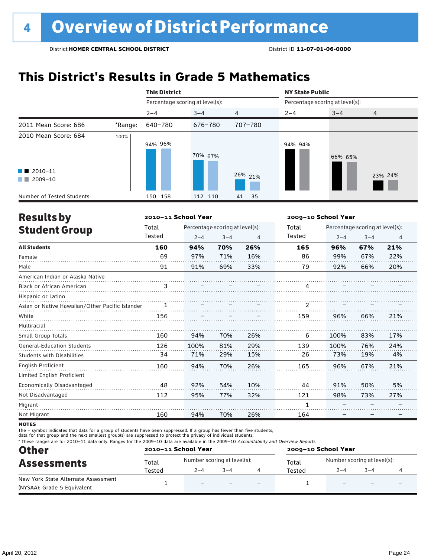# **This District's Results in Grade 5 Mathematics**

|                                                     |         | <b>This District</b>            |         |            | <b>NY State Public</b>          |         |                |
|-----------------------------------------------------|---------|---------------------------------|---------|------------|---------------------------------|---------|----------------|
|                                                     |         | Percentage scoring at level(s): |         |            | Percentage scoring at level(s): |         |                |
|                                                     |         | $2 - 4$                         | $3 - 4$ | 4          | $2 - 4$                         | $3 - 4$ | $\overline{4}$ |
| 2011 Mean Score: 686                                | *Range: | 640-780                         | 676-780 | 707-780    |                                 |         |                |
| 2010 Mean Score: 684                                | 100%    | 94% 96%                         | 70% 67% |            | 94% 94%                         | 66% 65% |                |
| $\blacksquare$ 2010-11<br>2009-10<br><b>COLLEGE</b> |         |                                 |         | 26% 21%    |                                 |         | 23% 24%        |
| Number of Tested Students:                          |         | 150 158                         | 112 110 | 41<br>- 35 |                                 |         |                |

| <b>Results by</b>                               |        | 2010-11 School Year |                                 |     | 2009-10 School Year |         |                                 |                |
|-------------------------------------------------|--------|---------------------|---------------------------------|-----|---------------------|---------|---------------------------------|----------------|
| <b>Student Group</b>                            | Total  |                     | Percentage scoring at level(s): |     | Total               |         | Percentage scoring at level(s): |                |
|                                                 | Tested | $2 - 4$             | $3 - 4$                         | 4   | Tested              | $2 - 4$ | $3 - 4$                         | $\overline{4}$ |
| <b>All Students</b>                             | 160    | 94%                 | 70%                             | 26% | 165                 | 96%     | 67%                             | 21%            |
| Female                                          | 69     | 97%                 | 71%                             | 16% | 86                  | 99%     | 67%                             | 22%            |
| Male                                            | 91     | 91%                 | 69%                             | 33% | 79                  | 92%     | 66%                             | 20%            |
| American Indian or Alaska Native                |        |                     |                                 |     |                     |         |                                 |                |
| <b>Black or African American</b>                | 3      |                     |                                 |     | 4                   |         |                                 |                |
| Hispanic or Latino                              |        |                     |                                 |     |                     |         |                                 |                |
| Asian or Native Hawaiian/Other Pacific Islander |        |                     |                                 |     |                     |         |                                 |                |
| White                                           | 156    |                     |                                 |     | 159                 | 96%     | 66%                             | 21%            |
| Multiracial                                     |        |                     |                                 |     |                     |         |                                 |                |
| <b>Small Group Totals</b>                       | 160    | 94%                 | 70%                             | 26% | 6                   | 100%    | 83%                             | 17%            |
| <b>General-Education Students</b>               | 126    | 100%                | 81%                             | 29% | 139                 | 100%    | 76%                             | 24%            |
| <b>Students with Disabilities</b>               | 34     | 71%                 | 29%                             | 15% | 26                  | 73%     | 19%                             | 4%             |
| English Proficient                              | 160    | 94%                 | 70%                             | 26% | 165                 | 96%     | 67%                             | 21%            |
| Limited English Proficient                      |        |                     |                                 |     |                     |         |                                 |                |
| Economically Disadvantaged                      | 48     | 92%                 | 54%                             | 10% | 44                  | 91%     | 50%                             | 5%             |
| Not Disadvantaged                               | 112    | 95%                 | 77%                             | 32% | 121                 | 98%     | 73%                             | 27%            |
| Migrant                                         |        |                     |                                 |     |                     |         |                                 |                |
| Not Migrant                                     | 160    | 94%                 | 70%                             | 26% | 164                 |         |                                 |                |

**NOTES** 

The – symbol indicates that data for a group of students have been suppressed. If a group has fewer than five students,

data for that group and the next smallest group(s) are suppressed to protect the privacy of individual students.

\* These ranges are for 2010–11 data only. Ranges for the 2009–10 data are available in the 2009–10 Accountability and Overview Reports.

| <b>Other</b>                        |        | 2010-11 School Year         |         |                          | 2009-10 School Year |                             |         |   |  |
|-------------------------------------|--------|-----------------------------|---------|--------------------------|---------------------|-----------------------------|---------|---|--|
| <b>Assessments</b>                  | Total  | Number scoring at level(s): |         |                          | Total               | Number scoring at level(s): |         |   |  |
|                                     | Tested | $2 - 4$                     | $3 - 4$ |                          | Tested              | $2 - 4$                     | $3 - 4$ |   |  |
| New York State Alternate Assessment |        | $\overline{\phantom{0}}$    |         | $\overline{\phantom{0}}$ |                     |                             |         | - |  |
| (NYSAA): Grade 5 Equivalent         |        |                             |         |                          |                     |                             |         |   |  |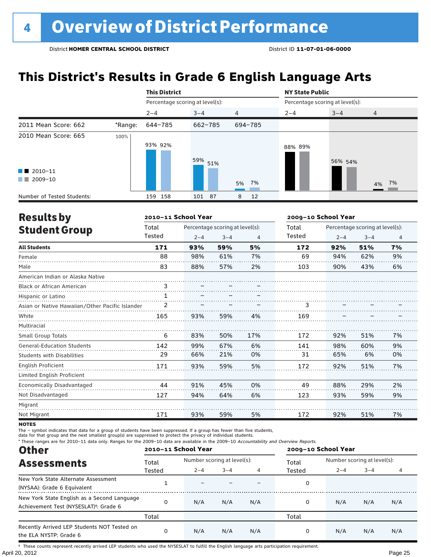# **This District's Results in Grade 6 English Language Arts**

|                                                                          |         | <b>This District</b>            |             |                | <b>NY State Public</b>          |         |                |
|--------------------------------------------------------------------------|---------|---------------------------------|-------------|----------------|---------------------------------|---------|----------------|
|                                                                          |         | Percentage scoring at level(s): |             |                | Percentage scoring at level(s): |         |                |
|                                                                          |         | $2 - 4$                         | $3 - 4$     | $\overline{4}$ | $2 - 4$                         | $3 - 4$ | $\overline{4}$ |
| 2011 Mean Score: 662                                                     | *Range: | 644-785                         | 662-785     | 694-785        |                                 |         |                |
| 2010 Mean Score: 665<br>$\blacksquare$ 2010-11<br>2009-10<br>a kacamatan | 100%    | 93% 92%                         | 59%<br>51%  | 5% 7%          | 88% 89%                         | 56% 54% | 4% 7%          |
| Number of Tested Students:                                               |         | 158<br>159                      | - 87<br>101 | 8<br>12        |                                 |         |                |

| <b>Results by</b>                               |              | 2010-11 School Year |                                 |     |        | 2009-10 School Year<br>Percentage scoring at level(s):<br>$2 - 4$<br>$3 - 4$<br>$\overline{4}$<br>7%<br>92%<br>51%<br>94%<br>62%<br>9%<br>90%<br>43%<br>6% |     |    |  |
|-------------------------------------------------|--------------|---------------------|---------------------------------|-----|--------|------------------------------------------------------------------------------------------------------------------------------------------------------------|-----|----|--|
| <b>Student Group</b>                            | Total        |                     | Percentage scoring at level(s): |     | Total  |                                                                                                                                                            |     |    |  |
|                                                 | Tested       | $2 - 4$             | $3 - 4$                         | 4   | Tested |                                                                                                                                                            |     |    |  |
| <b>All Students</b>                             | 171          | 93%                 | 59%                             | 5%  | 172    |                                                                                                                                                            |     |    |  |
| Female                                          | 88           | 98%                 | 61%                             | 7%  | 69     |                                                                                                                                                            |     |    |  |
| Male                                            | 83           | 88%                 | 57%                             | 2%  | 103    |                                                                                                                                                            |     |    |  |
| American Indian or Alaska Native                |              |                     |                                 |     |        |                                                                                                                                                            |     |    |  |
| <b>Black or African American</b>                | 3            |                     |                                 |     |        |                                                                                                                                                            |     |    |  |
| Hispanic or Latino                              | $\mathbf{1}$ |                     |                                 |     |        |                                                                                                                                                            |     |    |  |
| Asian or Native Hawaiian/Other Pacific Islander |              |                     |                                 |     |        |                                                                                                                                                            |     |    |  |
| White                                           | 165          | 93%                 | 59%                             | 4%  | 169    |                                                                                                                                                            |     |    |  |
| Multiracial                                     |              |                     |                                 |     |        |                                                                                                                                                            |     |    |  |
| <b>Small Group Totals</b>                       | 6            | 83%                 | 50%                             | 17% | 172    | 92%                                                                                                                                                        | 51% | 7% |  |
| <b>General-Education Students</b>               | 142          | 99%                 | 67%                             | 6%  | 141    | 98%                                                                                                                                                        | 60% | 9% |  |
| Students with Disabilities                      | 29           | 66%                 | 21%                             | 0%  | 31     | 65%                                                                                                                                                        | 6%  | 0% |  |
| English Proficient                              | 171          | 93%                 | 59%                             | 5%  | 172    | 92%                                                                                                                                                        | 51% | 7% |  |
| Limited English Proficient                      |              |                     |                                 |     |        |                                                                                                                                                            |     |    |  |
| Economically Disadvantaged                      | 44           | 91%                 | 45%                             | 0%  | 49     | 88%                                                                                                                                                        | 29% | 2% |  |
| Not Disadvantaged                               | 127          | 94%                 | 64%                             | 6%  | 123    | 93%                                                                                                                                                        | 59% | 9% |  |
| Migrant                                         |              |                     |                                 |     |        |                                                                                                                                                            |     |    |  |
| Not Migrant                                     | 171          | 93%                 | 59%                             | 5%  | 172    | 92%                                                                                                                                                        | 51% | 7% |  |

**NOTES** 

The – symbol indicates that data for a group of students have been suppressed. If a group has fewer than five students,<br>data for that group and the next smallest group(s) are suppressed to protect the privacy of individual

\* These ranges are for 2010–11 data only. Ranges for the 2009–10 data are available in the 2009–10 Accountability and Overview Reports.

| <b>Other</b>                                                                                      |          | 2010-11 School Year         |         |     |        | 2009-10 School Year         |         |     |  |
|---------------------------------------------------------------------------------------------------|----------|-----------------------------|---------|-----|--------|-----------------------------|---------|-----|--|
| <b>Assessments</b>                                                                                | Total    | Number scoring at level(s): |         |     | Total  | Number scoring at level(s): |         |     |  |
|                                                                                                   | Tested   | $2 - 4$                     | $3 - 4$ |     | Tested | $2 - 4$                     | $3 - 4$ |     |  |
| New York State Alternate Assessment<br>(NYSAA): Grade 6 Equivalent                                |          |                             |         |     | 0      |                             |         |     |  |
| New York State English as a Second Language<br>Achievement Test (NYSESLAT) <sup>†</sup> : Grade 6 | $\Omega$ | N/A                         | N/A     | N/A | 0      | N/A                         | N/A     | N/A |  |
|                                                                                                   | Total    |                             |         |     | Total  |                             |         |     |  |
| Recently Arrived LEP Students NOT Tested on<br>the ELA NYSTP: Grade 6                             | $\Omega$ | N/A                         | N/A     | N/A | 0      | N/A                         | N/A     | N/A |  |

April 20, 2012 Page 25 † These counts represent recently arrived LEP students who used the NYSESLAT to fulfill the English language arts participation requirement.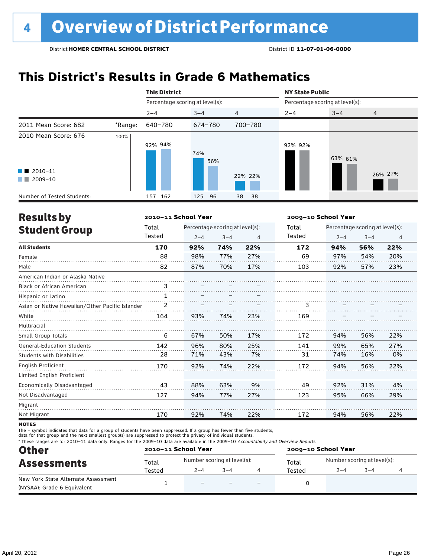# **This District's Results in Grade 6 Mathematics**

|                                                |         | <b>This District</b>            |             |                | <b>NY State Public</b>          |         |                |  |
|------------------------------------------------|---------|---------------------------------|-------------|----------------|---------------------------------|---------|----------------|--|
|                                                |         | Percentage scoring at level(s): |             |                | Percentage scoring at level(s): |         |                |  |
|                                                |         | $2 - 4$                         | $3 - 4$     | $\overline{4}$ | $2 - 4$                         | $3 - 4$ | $\overline{4}$ |  |
| 2011 Mean Score: 682                           | *Range: | 640-780                         | 674-780     | 700-780        |                                 |         |                |  |
| 2010 Mean Score: 676<br>$\blacksquare$ 2010-11 | 100%    | 92% 94%                         | 74%<br>56%  |                | 92% 92%                         | 63% 61% |                |  |
| 2009-10<br><b>The Co</b>                       |         |                                 |             | 22% 22%        |                                 |         | 26% 27%        |  |
| Number of Tested Students:                     |         | 162<br>157                      | 125<br>- 96 | 38<br>38       |                                 |         |                |  |

| <b>Results by</b>                               |        | 2010-11 School Year |                                 |     | 2009-10 School Year |                                 |         |                |  |
|-------------------------------------------------|--------|---------------------|---------------------------------|-----|---------------------|---------------------------------|---------|----------------|--|
| <b>Student Group</b>                            | Total  |                     | Percentage scoring at level(s): |     | Total               | Percentage scoring at level(s): |         |                |  |
|                                                 | Tested | $2 - 4$             | $3 - 4$                         | 4   | Tested              | $2 - 4$                         | $3 - 4$ | $\overline{4}$ |  |
| <b>All Students</b>                             | 170    | 92%                 | 74%                             | 22% | 172                 | 94%                             | 56%     | 22%            |  |
| Female                                          | 88     | 98%                 | 77%                             | 27% | 69                  | 97%                             | 54%     | 20%            |  |
| Male                                            | 82     | 87%                 | 70%                             | 17% | 103                 | 92%                             | 57%     | 23%            |  |
| American Indian or Alaska Native                |        |                     |                                 |     |                     |                                 |         |                |  |
| <b>Black or African American</b>                | 3      |                     |                                 |     |                     |                                 |         |                |  |
| Hispanic or Latino                              | 1      |                     |                                 |     |                     |                                 |         |                |  |
| Asian or Native Hawaiian/Other Pacific Islander | 2      |                     |                                 |     | 3                   |                                 |         |                |  |
| White                                           | 164    | 93%                 | 74%                             | 23% | 169                 |                                 |         |                |  |
| Multiracial                                     |        |                     |                                 |     |                     |                                 |         |                |  |
| <b>Small Group Totals</b>                       | 6      | 67%                 | 50%                             | 17% | 172                 | 94%                             | 56%     | 22%            |  |
| <b>General-Education Students</b>               | 142    | 96%                 | 80%                             | 25% | 141                 | 99%                             | 65%     | 27%            |  |
| <b>Students with Disabilities</b>               | 28     | 71%                 | 43%                             | 7%  | 31                  | 74%                             | 16%     | 0%             |  |
| <b>English Proficient</b>                       | 170    | 92%                 | 74%                             | 22% | 172                 | 94%                             | 56%     | 22%            |  |
| Limited English Proficient                      |        |                     |                                 |     |                     |                                 |         |                |  |
| <b>Economically Disadvantaged</b>               | 43     | 88%                 | 63%                             | 9%  | 49                  | 92%                             | 31%     | 4%             |  |
| Not Disadvantaged                               | 127    | 94%                 | 77%                             | 27% | 123                 | 95%                             | 66%     | 29%            |  |
| Migrant                                         |        |                     |                                 |     |                     |                                 |         |                |  |
| Not Migrant                                     | 170    | 92%                 | 74%                             | 22% | 172                 | 94%                             | 56%     | 22%            |  |

**NOTES** 

The – symbol indicates that data for a group of students have been suppressed. If a group has fewer than five students,

data for that group and the next smallest group(s) are suppressed to protect the privacy of individual students.

\* These ranges are for 2010–11 data only. Ranges for the 2009–10 data are available in the 2009–10 Accountability and Overview Reports.

| <b>Other</b>                                                       |        | 2010-11 School Year         |         |                          | 2009-10 School Year |         |                             |  |  |
|--------------------------------------------------------------------|--------|-----------------------------|---------|--------------------------|---------------------|---------|-----------------------------|--|--|
| <b>Assessments</b>                                                 | Total  | Number scoring at level(s): |         |                          | Total               |         | Number scoring at level(s): |  |  |
|                                                                    | Tested | $2 - 4$                     | $3 - 4$ |                          | Tested              | $2 - 4$ | $3 - 4$                     |  |  |
| New York State Alternate Assessment<br>(NYSAA): Grade 6 Equivalent |        | $\overline{\phantom{0}}$    |         | $\overline{\phantom{0}}$ |                     |         |                             |  |  |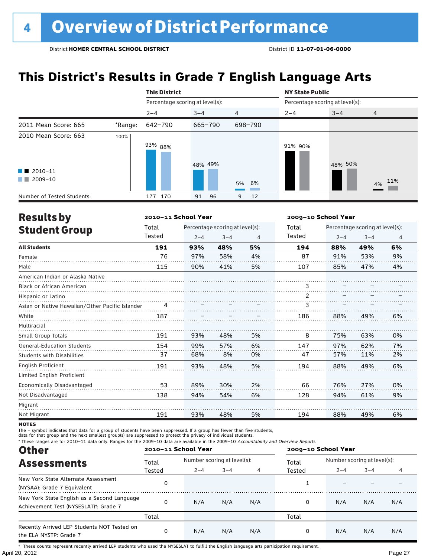# **This District's Results in Grade 7 English Language Arts**

|                                                                                                                                                                                                                                                                |                                                                                                                        |            |          |                |                                 | <b>NY State Public</b> |                |  |  |
|----------------------------------------------------------------------------------------------------------------------------------------------------------------------------------------------------------------------------------------------------------------|------------------------------------------------------------------------------------------------------------------------|------------|----------|----------------|---------------------------------|------------------------|----------------|--|--|
|                                                                                                                                                                                                                                                                |                                                                                                                        |            |          |                | Percentage scoring at level(s): |                        |                |  |  |
|                                                                                                                                                                                                                                                                |                                                                                                                        | $2 - 4$    | $3 - 4$  | $\overline{4}$ | $2 - 4$                         | $3 - 4$                | $\overline{4}$ |  |  |
| 2011 Mean Score: 665                                                                                                                                                                                                                                           | <b>This District</b><br>Percentage scoring at level(s):<br>642-790<br>*Range:<br>100%<br>93% <sub>88%</sub><br>2009-10 | 665-790    | 698-790  |                |                                 |                        |                |  |  |
| 2010 Mean Score: 663                                                                                                                                                                                                                                           |                                                                                                                        |            | 48% 49%  |                | 91% 90%                         | 48% 50%                |                |  |  |
| $\blacksquare$ 2010-11<br><b>The Contract of the Contract of the Contract of the Contract of the Contract of the Contract of the Contract of the Contract of the Contract of the Contract of the Contract of the Contract of The Contract of The Contract </b> |                                                                                                                        |            |          | 5% 6%          |                                 |                        | 4% 11%         |  |  |
| Number of Tested Students:                                                                                                                                                                                                                                     |                                                                                                                        | 170<br>177 | 96<br>91 | 12<br>9        |                                 |                        |                |  |  |

| <b>Results by</b>                               |        | 2010-11 School Year |                                 |    |               | 2009-10 School Year             |         |                |  |
|-------------------------------------------------|--------|---------------------|---------------------------------|----|---------------|---------------------------------|---------|----------------|--|
| <b>Student Group</b>                            | Total  |                     | Percentage scoring at level(s): |    | Total         | Percentage scoring at level(s): |         |                |  |
|                                                 | Tested | $2 - 4$             | $3 - 4$                         | 4  | <b>Tested</b> | $2 - 4$                         | $3 - 4$ | $\overline{4}$ |  |
| <b>All Students</b>                             | 191    | 93%                 | 48%                             | 5% | 194           | 88%                             | 49%     | 6%             |  |
| Female                                          | 76     | 97%                 | 58%                             | 4% | 87            | 91%                             | 53%     | 9%             |  |
| Male                                            | 115    | 90%                 | 41%                             | 5% | 107           | 85%                             | 47%     | 4%             |  |
| American Indian or Alaska Native                |        |                     |                                 |    |               |                                 |         |                |  |
| <b>Black or African American</b>                |        |                     |                                 |    | 3             |                                 |         |                |  |
| Hispanic or Latino                              |        |                     |                                 |    | 2             |                                 |         |                |  |
| Asian or Native Hawaiian/Other Pacific Islander |        |                     |                                 |    | 3             |                                 |         |                |  |
| White                                           | 187    |                     |                                 |    | 186           | 88%                             | 49%     | 6%             |  |
| Multiracial                                     |        |                     |                                 |    |               |                                 |         |                |  |
| Small Group Totals                              | 191    | 93%                 | 48%                             | 5% | 8             | 75%                             | 63%     | 0%             |  |
| <b>General-Education Students</b>               | 154    | 99%                 | 57%                             | 6% | 147           | 97%                             | 62%     | 7%             |  |
| <b>Students with Disabilities</b>               | 37     | 68%                 | 8%                              | 0% | 47            | 57%                             | 11%     | 2%             |  |
| English Proficient                              | 191    | 93%                 | 48%                             | 5% | 194           | 88%                             | 49%     | 6%             |  |
| Limited English Proficient                      |        |                     |                                 |    |               |                                 |         |                |  |
| Economically Disadvantaged                      | 53     | 89%                 | 30%                             | 2% | 66            | 76%                             | 27%     | 0%             |  |
| Not Disadvantaged                               | 138    | 94%                 | 54%                             | 6% | 128           | 94%                             | 61%     | 9%             |  |
| Migrant                                         |        |                     |                                 |    |               |                                 |         |                |  |
| Not Migrant                                     | 191    | 93%                 | 48%                             | 5% | 194           | 88%                             | 49%     | 6%             |  |

**NOTES** 

The – symbol indicates that data for a group of students have been suppressed. If a group has fewer than five students,

data for that group and the next smallest group(s) are suppressed to protect the privacy of individual students.

\* These ranges are for 2010–11 data only. Ranges for the 2009–10 data are available in the 2009–10 Accountability and Overview Reports.

| <b>Other</b>                                                                                      | 2010-11 School Year |                             | 2009-10 School Year |     |        |                             |         |     |
|---------------------------------------------------------------------------------------------------|---------------------|-----------------------------|---------------------|-----|--------|-----------------------------|---------|-----|
| <b>Assessments</b>                                                                                | Total               | Number scoring at level(s): |                     |     | Total  | Number scoring at level(s): |         |     |
|                                                                                                   | Tested              | $2 - 4$                     | $3 - 4$             |     | Tested | $2 - 4$                     | $3 - 4$ |     |
| New York State Alternate Assessment<br>(NYSAA): Grade 7 Equivalent                                |                     |                             |                     |     |        |                             |         |     |
| New York State English as a Second Language<br>Achievement Test (NYSESLAT) <sup>+</sup> : Grade 7 |                     | N/A                         | N/A                 | N/A | 0      | N/A                         | N/A     | N/A |
|                                                                                                   | Total               |                             |                     |     | Total  |                             |         |     |
| Recently Arrived LEP Students NOT Tested on<br>the ELA NYSTP: Grade 7                             | <sup>0</sup>        | N/A                         | N/A                 | N/A | 0      | N/A                         | N/A     | N/A |

April 20, 2012 Page 27 † These counts represent recently arrived LEP students who used the NYSESLAT to fulfill the English language arts participation requirement.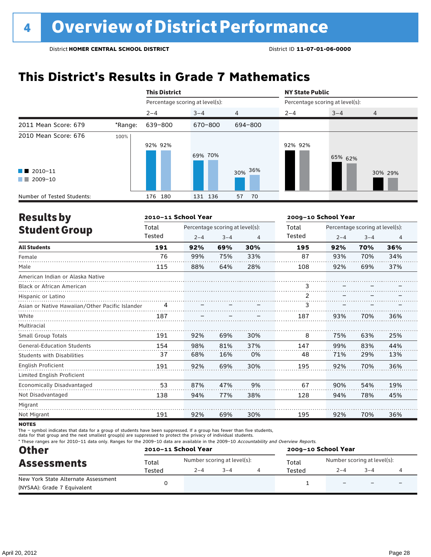# **This District's Results in Grade 7 Mathematics**

|                                         |         | <b>This District</b>            |         |                | <b>NY State Public</b> |                                 |                |
|-----------------------------------------|---------|---------------------------------|---------|----------------|------------------------|---------------------------------|----------------|
|                                         |         | Percentage scoring at level(s): |         |                |                        | Percentage scoring at level(s): |                |
|                                         |         | $2 - 4$                         | $3 - 4$ | $\overline{4}$ | $2 - 4$                | $3 - 4$                         | $\overline{4}$ |
| 2011 Mean Score: 679<br>100%<br>2009-10 | *Range: | 639-800                         | 670-800 | 694-800        |                        |                                 |                |
| 2010 Mean Score: 676                    |         | 92% 92%                         | 69% 70% |                | 92% 92%                | 65% 62%                         |                |
| $\blacksquare$ 2010-11<br>a kacamatan   |         |                                 |         | 30% 36%        |                        |                                 | 30% 29%        |
| Number of Tested Students:              |         | 176 180                         | 131 136 | 57<br>70       |                        |                                 |                |

| <b>Results by</b>                               |        | 2010-11 School Year |                                 |     | 2009-10 School Year |                                 |         |                |
|-------------------------------------------------|--------|---------------------|---------------------------------|-----|---------------------|---------------------------------|---------|----------------|
| <b>Student Group</b>                            | Total  |                     | Percentage scoring at level(s): |     | Total               | Percentage scoring at level(s): |         |                |
|                                                 | Tested | $2 - 4$             | $3 - 4$                         | 4   | Tested              | $2 - 4$                         | $3 - 4$ | $\overline{4}$ |
| <b>All Students</b>                             | 191    | 92%                 | 69%                             | 30% | 195                 | 92%                             | 70%     | 36%            |
| Female                                          | 76     | 99%                 | 75%                             | 33% | 87                  | 93%                             | 70%     | 34%            |
| Male                                            | 115    | 88%                 | 64%                             | 28% | 108                 | 92%                             | 69%     | 37%            |
| American Indian or Alaska Native                |        |                     |                                 |     |                     |                                 |         |                |
| <b>Black or African American</b>                |        |                     |                                 |     | 3                   |                                 |         |                |
| Hispanic or Latino                              |        |                     |                                 |     | $\overline{2}$      |                                 |         |                |
| Asian or Native Hawaiian/Other Pacific Islander | 4      |                     |                                 |     | 3                   |                                 |         |                |
| White                                           | 187    |                     |                                 |     | 187                 | 93%                             | 70%     | 36%            |
| Multiracial                                     |        |                     |                                 |     |                     |                                 |         |                |
| Small Group Totals                              | 191    | 92%                 | 69%                             | 30% | 8                   | 75%                             | 63%     | 25%            |
| <b>General-Education Students</b>               | 154    | 98%                 | 81%                             | 37% | 147                 | 99%                             | 83%     | 44%            |
| <b>Students with Disabilities</b>               | 37     | 68%                 | 16%                             | 0%  | 48                  | 71%                             | 29%     | 13%            |
| <b>English Proficient</b>                       | 191    | 92%                 | 69%                             | 30% | 195                 | 92%                             | 70%     | 36%            |
| Limited English Proficient                      |        |                     |                                 |     |                     |                                 |         |                |
| <b>Economically Disadvantaged</b>               | 53     | 87%                 | 47%                             | 9%  | 67                  | 90%                             | 54%     | 19%            |
| Not Disadvantaged                               | 138    | 94%                 | 77%                             | 38% | 128                 | 94%                             | 78%     | 45%            |
| Migrant                                         |        |                     |                                 |     |                     |                                 |         |                |
| Not Migrant                                     | 191    | 92%                 | 69%                             | 30% | 195                 | 92%                             | 70%     | 36%            |

**NOTES** 

The – symbol indicates that data for a group of students have been suppressed. If a group has fewer than five students,<br>data for that group and the next smallest group(s) are suppressed to protect the privacy of individual

\* These ranges are for 2010–11 data only. Ranges for the 2009–10 data are available in the 2009–10 Accountability and Overview Reports.

| <b>Other</b>                        |        | 2010-11 School Year |                             | 2009-10 School Year |                             |        |  |  |
|-------------------------------------|--------|---------------------|-----------------------------|---------------------|-----------------------------|--------|--|--|
| <b>Assessments</b>                  | Total  |                     | Number scoring at level(s): | Total               | Number scoring at level(s): |        |  |  |
|                                     | Tested | $2 - 4$             | $3 - 4$                     | Tested              | $2 - 4$                     | $-3-4$ |  |  |
| New York State Alternate Assessment |        |                     |                             |                     |                             |        |  |  |
| (NYSAA): Grade 7 Equivalent         |        |                     |                             |                     |                             |        |  |  |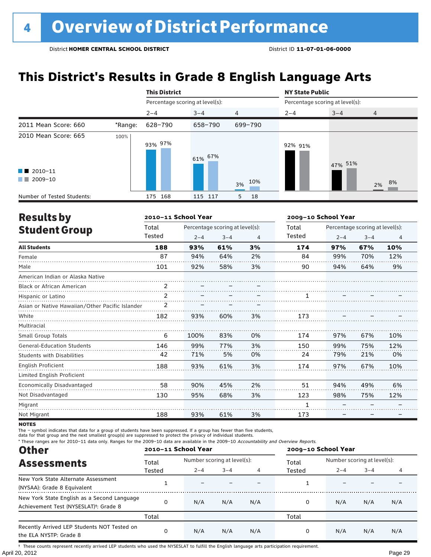# **This District's Results in Grade 8 English Language Arts**

|                                                                          |         | <b>This District</b>            |         |                | <b>NY State Public</b>          |         |                |  |
|--------------------------------------------------------------------------|---------|---------------------------------|---------|----------------|---------------------------------|---------|----------------|--|
|                                                                          |         | Percentage scoring at level(s): |         |                | Percentage scoring at level(s): |         |                |  |
|                                                                          |         | $2 - 4$                         | $3 - 4$ | $\overline{4}$ | $2 - 4$                         | $3 - 4$ | $\overline{4}$ |  |
| 2011 Mean Score: 660                                                     | *Range: | 628-790                         | 658-790 | 699-790        |                                 |         |                |  |
| 2010 Mean Score: 665<br>$\blacksquare$ 2010-11<br>2009-10<br>a kacamatan | 100%    | 93% 97%                         | 61% 67% | 10%<br>3%      | 92% 91%                         | 47% 51% | 2% 8%          |  |
| Number of Tested Students:                                               |         | 175 168                         | 115 117 | 5<br>18        |                                 |         |                |  |

| <b>Results by</b>                               |                | 2010-11 School Year |                                 |    | 2009-10 School Year |         |                                 |                |
|-------------------------------------------------|----------------|---------------------|---------------------------------|----|---------------------|---------|---------------------------------|----------------|
| <b>Student Group</b>                            | Total          |                     | Percentage scoring at level(s): |    | Total               |         | Percentage scoring at level(s): |                |
|                                                 | Tested         | $2 - 4$             | $3 - 4$                         | 4  | Tested              | $2 - 4$ | $3 - 4$                         | $\overline{4}$ |
| <b>All Students</b>                             | 188            | 93%                 | 61%                             | 3% | 174                 | 97%     | 67%                             | 10%            |
| Female                                          | 87             | 94%                 | 64%                             | 2% | 84                  | 99%     | 70%                             | 12%            |
| Male                                            | 101            | 92%                 | 58%                             | 3% | 90                  | 94%     | 64%                             | 9%             |
| American Indian or Alaska Native                |                |                     |                                 |    |                     |         |                                 |                |
| <b>Black or African American</b>                | $\mathfrak{D}$ |                     |                                 |    |                     |         |                                 |                |
| Hispanic or Latino                              | 2              |                     |                                 |    |                     |         |                                 |                |
| Asian or Native Hawaiian/Other Pacific Islander | 2              |                     |                                 |    |                     |         |                                 |                |
| White                                           | 182            | 93%                 | 60%                             | 3% |                     |         |                                 |                |
| Multiracial                                     |                |                     |                                 |    |                     |         |                                 |                |
| <b>Small Group Totals</b>                       | 6              | 100%                | 83%                             | 0% | 174                 | 97%     | 67%                             | 10%            |
| <b>General-Education Students</b>               | 146            | 99%                 | 77%                             | 3% | 150                 | 99%     | 75%                             | 12%            |
| <b>Students with Disabilities</b>               | 42             | 71%                 | 5%                              | 0% | 24                  | 79%     | 21%                             | 0%             |
| English Proficient                              | 188            | 93%                 | 61%                             | 3% | 174                 | 97%     | 67%                             | 10%            |
| Limited English Proficient                      |                |                     |                                 |    |                     |         |                                 |                |
| Economically Disadvantaged                      | 58             | 90%                 | 45%                             | 2% | 51                  | 94%     | 49%                             | 6%             |
| Not Disadvantaged                               | 130            | 95%                 | 68%                             | 3% | 123                 | 98%     | 75%                             | 12%            |
| Migrant                                         |                |                     |                                 |    |                     |         |                                 |                |
| Not Migrant                                     | 188            | 93%                 | 61%                             | 3% | 173                 |         |                                 |                |

**NOTES** 

The – symbol indicates that data for a group of students have been suppressed. If a group has fewer than five students,

data for that group and the next smallest group(s) are suppressed to protect the privacy of individual students.

\* These ranges are for 2010–11 data only. Ranges for the 2009–10 data are available in the 2009–10 Accountability and Overview Reports.

| <b>Other</b>                                                                                      | 2010-11 School Year |                             |         |     | 2009-10 School Year |                             |         |     |
|---------------------------------------------------------------------------------------------------|---------------------|-----------------------------|---------|-----|---------------------|-----------------------------|---------|-----|
| <b>Assessments</b>                                                                                | Total               | Number scoring at level(s): |         |     | Total               | Number scoring at level(s): |         |     |
|                                                                                                   | Tested              | $2 - 4$                     | $3 - 4$ |     | Tested              | $2 - 4$                     | $3 - 4$ |     |
| New York State Alternate Assessment<br>(NYSAA): Grade 8 Equivalent                                |                     |                             |         |     |                     |                             |         |     |
| New York State English as a Second Language<br>Achievement Test (NYSESLAT) <sup>+</sup> : Grade 8 | O                   | N/A                         | N/A     | N/A | 0                   | N/A                         | N/A     | N/A |
|                                                                                                   | Total               |                             |         |     | Total               |                             |         |     |
| Recently Arrived LEP Students NOT Tested on<br>the ELA NYSTP: Grade 8                             | O                   | N/A                         | N/A     | N/A | 0                   | N/A                         | N/A     | N/A |

April 20, 2012 Page 29 † These counts represent recently arrived LEP students who used the NYSESLAT to fulfill the English language arts participation requirement.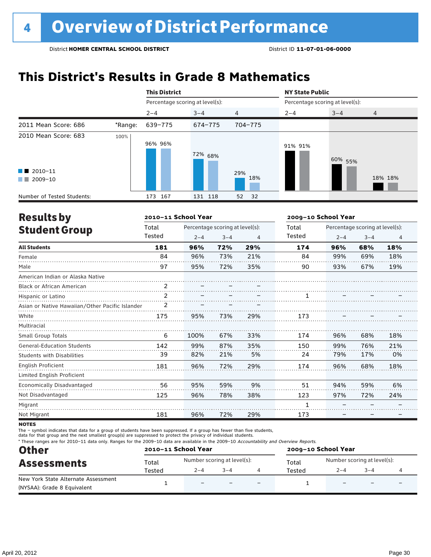# **This District's Results in Grade 8 Mathematics**

|                                                  |         | <b>This District</b>            |         |                | <b>NY State Public</b>          |         |                |  |  |  |
|--------------------------------------------------|---------|---------------------------------|---------|----------------|---------------------------------|---------|----------------|--|--|--|
|                                                  |         | Percentage scoring at level(s): |         |                | Percentage scoring at level(s): |         |                |  |  |  |
|                                                  |         | $2 - 4$                         | $3 - 4$ | $\overline{4}$ | $2 - 4$                         | $3 - 4$ | $\overline{4}$ |  |  |  |
| 2011 Mean Score: 686                             | *Range: | 639-775                         | 674-775 | 704-775        |                                 |         |                |  |  |  |
| 2010 Mean Score: 683                             | 100%    | 96% 96%                         | 72% 68% |                | 91% 91%                         | 60% 55% |                |  |  |  |
| $\blacksquare$ 2010-11<br>2009-10<br>a kacamatan |         |                                 |         | 29%<br>18%     |                                 |         | 18% 18%        |  |  |  |
| Number of Tested Students:                       |         | 167<br>173                      | 131 118 | 52<br>- 32     |                                 |         |                |  |  |  |

| <b>Results by</b>                               |        | 2010-11 School Year             |         |     | 2009-10 School Year |                                 |         |                |  |
|-------------------------------------------------|--------|---------------------------------|---------|-----|---------------------|---------------------------------|---------|----------------|--|
| <b>Student Group</b>                            | Total  | Percentage scoring at level(s): |         |     | Total               | Percentage scoring at level(s): |         |                |  |
|                                                 | Tested | $2 - 4$                         | $3 - 4$ | 4   | Tested              | $2 - 4$                         | $3 - 4$ | $\overline{4}$ |  |
| <b>All Students</b>                             | 181    | 96%                             | 72%     | 29% | 174                 | 96%                             | 68%     | 18%            |  |
| Female                                          | 84     | 96%                             | 73%     | 21% | 84                  | 99%                             | 69%     | 18%            |  |
| Male                                            | 97     | 95%                             | 72%     | 35% | 90                  | 93%                             | 67%     | 19%            |  |
| American Indian or Alaska Native                |        |                                 |         |     |                     |                                 |         |                |  |
| <b>Black or African American</b>                | 2      |                                 |         |     |                     |                                 |         |                |  |
| Hispanic or Latino                              | 2      |                                 |         |     |                     |                                 |         |                |  |
| Asian or Native Hawaiian/Other Pacific Islander | 2      |                                 |         |     |                     |                                 |         |                |  |
| White                                           | 175    | 95%                             | 73%     | 29% | 173                 |                                 |         |                |  |
| Multiracial                                     |        |                                 |         |     |                     |                                 |         |                |  |
| <b>Small Group Totals</b>                       | 6      | 100%                            | 67%     | 33% | 174                 | 96%                             | 68%     | 18%            |  |
| <b>General-Education Students</b>               | 142    | 99%                             | 87%     | 35% | 150                 | 99%                             | 76%     | 21%            |  |
| <b>Students with Disabilities</b>               | 39     | 82%                             | 21%     | 5%  | 24                  | 79%                             | 17%     | 0%             |  |
| <b>English Proficient</b>                       | 181    | 96%                             | 72%     | 29% | 174                 | 96%                             | 68%     | 18%            |  |
| Limited English Proficient                      |        |                                 |         |     |                     |                                 |         |                |  |
| Economically Disadvantaged                      | 56     | 95%                             | 59%     | 9%  | 51                  | 94%                             | 59%     | 6%             |  |
| Not Disadvantaged                               | 125    | 96%                             | 78%     | 38% | 123                 | 97%                             | 72%     | 24%            |  |
| Migrant                                         |        |                                 |         |     |                     |                                 |         |                |  |
| Not Migrant                                     | 181    | 96%                             | 72%     | 29% | 173                 |                                 |         |                |  |

**NOTES** 

The – symbol indicates that data for a group of students have been suppressed. If a group has fewer than five students,

data for that group and the next smallest group(s) are suppressed to protect the privacy of individual students.

\* These ranges are for 2010–11 data only. Ranges for the 2009–10 data are available in the 2009–10 Accountability and Overview Reports.

| <b>Other</b>                        |        | 2010-11 School Year         |                          |                          | 2009-10 School Year |                             |                          |                          |  |
|-------------------------------------|--------|-----------------------------|--------------------------|--------------------------|---------------------|-----------------------------|--------------------------|--------------------------|--|
| <b>Assessments</b>                  | Total  | Number scoring at level(s): |                          |                          | Total               | Number scoring at level(s): |                          |                          |  |
|                                     | Tested | $2 - 4$                     | $3 - 4$                  |                          | Tested              | $2 - 4$                     | $3 - 4$                  |                          |  |
| New York State Alternate Assessment |        | $\qquad \qquad -$           | $\overline{\phantom{0}}$ | $\overline{\phantom{0}}$ |                     | $\overline{\phantom{0}}$    | $\overline{\phantom{0}}$ | $\overline{\phantom{0}}$ |  |
| (NYSAA): Grade 8 Equivalent         |        |                             |                          |                          |                     |                             |                          |                          |  |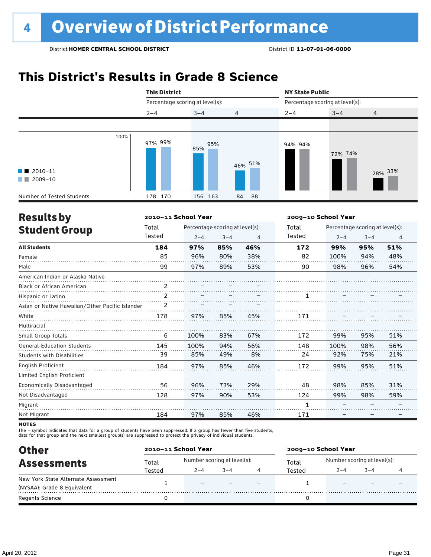# **This District's Results in Grade 8 Science**

|                                                  | <b>This District</b> |                                 |                |         | <b>NY State Public</b><br>Percentage scoring at level(s): |         |  |  |  |
|--------------------------------------------------|----------------------|---------------------------------|----------------|---------|-----------------------------------------------------------|---------|--|--|--|
|                                                  |                      | Percentage scoring at level(s): |                |         |                                                           |         |  |  |  |
|                                                  | $2 - 4$              | $3 - 4$                         | $\overline{4}$ | $2 - 4$ | $3 - 4$                                                   | 4       |  |  |  |
|                                                  |                      |                                 |                |         |                                                           |         |  |  |  |
| $\blacksquare$ 2010-11<br>$\blacksquare$ 2009-10 | 100%<br>97% 99%      | 95%<br>85%                      | 46% 51%        | 94% 94% | 72% 74%                                                   | 28% 33% |  |  |  |
| Number of Tested Students:                       | 178 170              | 156 163                         | 84<br>88       |         |                                                           |         |  |  |  |

| <b>Results by</b>                               |                | 2010-11 School Year             |         |     | 2009-10 School Year |                                 |         |                |
|-------------------------------------------------|----------------|---------------------------------|---------|-----|---------------------|---------------------------------|---------|----------------|
| <b>Student Group</b>                            | Total          | Percentage scoring at level(s): |         |     | Total               | Percentage scoring at level(s): |         |                |
|                                                 | Tested         | $2 - 4$                         | $3 - 4$ | 4   | Tested              | $2 - 4$                         | $3 - 4$ | $\overline{4}$ |
| <b>All Students</b>                             | 184            | 97%                             | 85%     | 46% | 172                 | 99%                             | 95%     | 51%            |
| Female                                          | 85             | 96%                             | 80%     | 38% | 82                  | 100%                            | 94%     | 48%            |
| Male                                            | 99             | 97%                             | 89%     | 53% | 90                  | 98%                             | 96%     | 54%            |
| American Indian or Alaska Native                |                |                                 |         |     |                     |                                 |         |                |
| <b>Black or African American</b>                | $\mathfrak{p}$ |                                 |         |     |                     |                                 |         |                |
| Hispanic or Latino                              | 2              |                                 |         |     |                     |                                 |         |                |
| Asian or Native Hawaiian/Other Pacific Islander | 2              |                                 |         |     |                     |                                 |         |                |
| White                                           | 178            | 97%                             | 85%     | 45% | 171                 |                                 |         |                |
| Multiracial                                     |                |                                 |         |     |                     |                                 |         |                |
| <b>Small Group Totals</b>                       | 6              | 100%                            | 83%     | 67% | 172                 | 99%                             | 95%     | 51%            |
| <b>General-Education Students</b>               | 145            | 100%                            | 94%     | 56% | 148                 | 100%                            | 98%     | 56%            |
| <b>Students with Disabilities</b>               | 39             | 85%                             | 49%     | 8%  | 24                  | 92%                             | 75%     | 21%            |
| <b>English Proficient</b>                       | 184            | 97%                             | 85%     | 46% | 172                 | 99%                             | 95%     | 51%            |
| Limited English Proficient                      |                |                                 |         |     |                     |                                 |         |                |
| Economically Disadvantaged                      | 56             | 96%                             | 73%     | 29% | 48                  | 98%                             | 85%     | 31%            |
| Not Disadvantaged                               | 128            | 97%                             | 90%     | 53% | 124                 | 99%                             | 98%     | 59%            |
| Migrant                                         |                |                                 |         |     | 1                   |                                 |         |                |
| Not Migrant                                     | 184            | 97%                             | 85%     | 46% | 171                 |                                 |         |                |

**NOTES** 

The – symbol indicates that data for a group of students have been suppressed. If a group has fewer than five students,<br>data for that group and the next smallest group(s) are suppressed to protect the privacy of individual

| <b>Other</b>                        |        | 2010-11 School Year         |         |  | 2009-10 School Year |                             |      |  |  |
|-------------------------------------|--------|-----------------------------|---------|--|---------------------|-----------------------------|------|--|--|
| <b>Assessments</b>                  | Total  | Number scoring at level(s): |         |  | Total               | Number scoring at level(s): |      |  |  |
|                                     | Tested | $2 - 4$                     | $3 - 4$ |  | Tested              | $2 - 4$                     | $-4$ |  |  |
| New York State Alternate Assessment |        | -                           |         |  |                     |                             |      |  |  |
| (NYSAA): Grade 8 Equivalent         |        |                             |         |  |                     |                             |      |  |  |
| Regents Science                     |        |                             |         |  |                     |                             |      |  |  |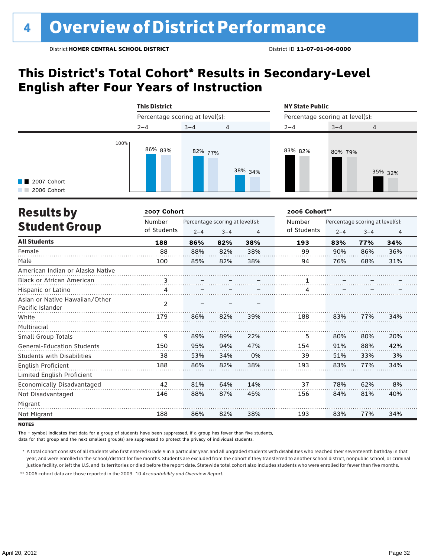### **This District's Total Cohort\* Results in Secondary-Level English after Four Years of Instruction**



| <b>Results by</b>                                  | 2007 Cohort    |         |                                 |     | 2006 Cohort** |                                 |         |                |  |
|----------------------------------------------------|----------------|---------|---------------------------------|-----|---------------|---------------------------------|---------|----------------|--|
|                                                    | Number         |         | Percentage scoring at level(s): |     | Number        | Percentage scoring at level(s): |         |                |  |
| <b>Student Group</b>                               | of Students    | $2 - 4$ | $3 - 4$                         | 4   | of Students   | $2 - 4$                         | $3 - 4$ | $\overline{4}$ |  |
| <b>All Students</b>                                | 188            | 86%     | 82%                             | 38% | 193           | 83%                             | 77%     | 34%            |  |
| Female                                             | 88             | 88%     | 82%                             | 38% | 99            | 90%                             | 86%     | 36%            |  |
| Male                                               | 100            | 85%     | 82%                             | 38% | 94            | 76%                             | 68%     | 31%            |  |
| American Indian or Alaska Native                   |                |         |                                 |     |               |                                 |         |                |  |
| Black or African American                          | 3              |         |                                 |     |               |                                 |         |                |  |
| Hispanic or Latino                                 | 4              |         |                                 |     |               |                                 |         |                |  |
| Asian or Native Hawaiian/Other<br>Pacific Islander | $\overline{2}$ |         |                                 |     |               |                                 |         |                |  |
| White                                              | 179            | 86%     | 82%                             | 39% | 188           | 83%                             | 77%     | 34%            |  |
| Multiracial                                        |                |         |                                 |     |               |                                 |         |                |  |
| <b>Small Group Totals</b>                          | 9              | 89%     | 89%                             | 22% | 5             | 80%                             | 80%     | 20%            |  |
| <b>General-Education Students</b>                  | 150            | 95%     | 94%                             | 47% | 154           | 91%                             | 88%     | 42%            |  |
| <b>Students with Disabilities</b>                  | 38             | 53%     | 34%                             | 0%  | 39            | 51%                             | 33%     | 3%             |  |
| English Proficient                                 | 188            | 86%     | 82%                             | 38% | 193           | 83%                             | 77%     | 34%            |  |
| Limited English Proficient                         |                |         |                                 |     |               |                                 |         |                |  |
| Economically Disadvantaged                         | 42             | 81%     | 64%                             | 14% | 37            | 78%                             | 62%     | 8%             |  |
| Not Disadvantaged                                  | 146            | 88%     | 87%                             | 45% | 156           | 84%                             | 81%     | 40%            |  |
| Migrant                                            |                |         |                                 |     |               |                                 |         |                |  |
| Not Migrant                                        | 188            | 86%     | 82%                             | 38% | 193           | 83%                             | 77%     | 34%            |  |

**NOTES** 

The – symbol indicates that data for a group of students have been suppressed. If a group has fewer than five students,

data for that group and the next smallest group(s) are suppressed to protect the privacy of individual students.

\* A total cohort consists of all students who first entered Grade 9 in a particular year, and all ungraded students with disabilities who reached their seventeenth birthday in that year, and were enrolled in the school/district for five months. Students are excluded from the cohort if they transferred to another school district, nonpublic school, or criminal justice facility, or left the U.S. and its territories or died before the report date. Statewide total cohort also includes students who were enrolled for fewer than five months.

\*\* 2006 cohort data are those reported in the 2009–10 *Accountability and Overview Report*.